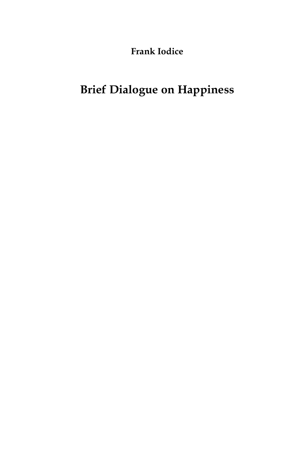**Frank Iodice**

## **Brief Dialogue on Happiness**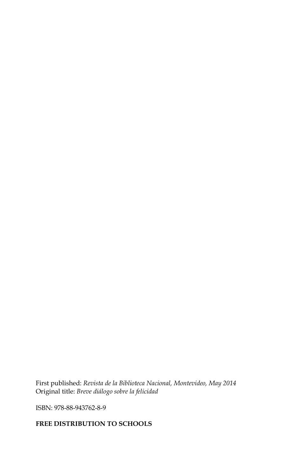First published: *Revista de la Biblioteca Nacional, Montevideo, May 2014* Original title: *Breve diálogo sobre la felicidad*

ISBN: 978-88-943762-8-9

## **FREE DISTRIBUTION TO SCHOOLS**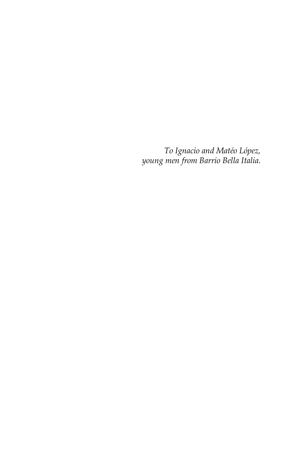*To Ignacio and Matéo López, young men from Barrio Bella Italia.*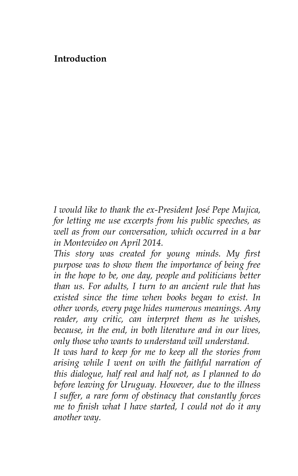## **Introduction**

*I would like to thank the ex-President José Pepe Mujica, for letting me use excerpts from his public speeches, as well as from our conversation, which occurred in a bar in Montevideo on April 2014.*

*This story was created for young minds. My first purpose was to show them the importance of being free in the hope to be, one day, people and politicians better than us. For adults, I turn to an ancient rule that has existed since the time when books began to exist. In other words, every page hides numerous meanings. Any reader, any critic, can interpret them as he wishes, because, in the end, in both literature and in our lives, only those who wants to understand will understand.*

*It was hard to keep for me to keep all the stories from arising while I went on with the faithful narration of this dialogue, half real and half not, as I planned to do before leaving for Uruguay. However, due to the illness I suffer, a rare form of obstinacy that constantly forces me to finish what I have started, I could not do it any another way.*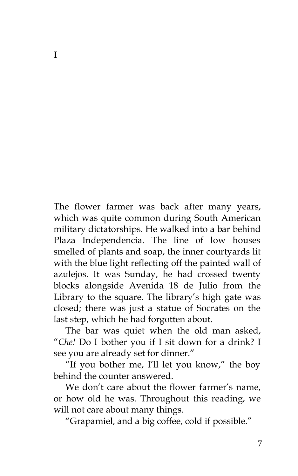The flower farmer was back after many years, which was quite common during South American military dictatorships. He walked into a bar behind Plaza Independencia. The line of low houses smelled of plants and soap, the inner courtyards lit with the blue light reflecting off the painted wall of azulejos. It was Sunday, he had crossed twenty blocks alongside Avenida 18 de Julio from the Library to the square. The library's high gate was closed; there was just a statue of Socrates on the last step, which he had forgotten about.

The bar was quiet when the old man asked, "*Che!* Do I bother you if I sit down for a drink? I see you are already set for dinner."

"If you bother me, I'll let you know," the boy behind the counter answered.

We don't care about the flower farmer's name, or how old he was. Throughout this reading, we will not care about many things.

"Grapamiel, and a big coffee, cold if possible."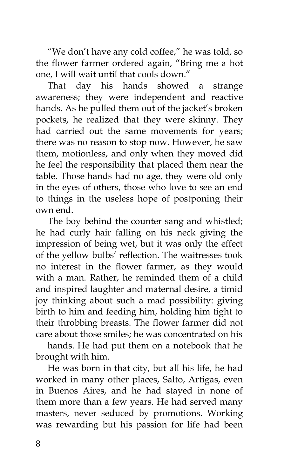"We don't have any cold coffee," he was told, so the flower farmer ordered again, "Bring me a hot one, I will wait until that cools down."

That day his hands showed a strange awareness; they were independent and reactive hands. As he pulled them out of the jacket's broken pockets, he realized that they were skinny. They had carried out the same movements for years; there was no reason to stop now. However, he saw them, motionless, and only when they moved did he feel the responsibility that placed them near the table. Those hands had no age, they were old only in the eyes of others, those who love to see an end to things in the useless hope of postponing their own end.

The boy behind the counter sang and whistled; he had curly hair falling on his neck giving the impression of being wet, but it was only the effect of the yellow bulbs' reflection. The waitresses took no interest in the flower farmer, as they would with a man. Rather, he reminded them of a child and inspired laughter and maternal desire, a timid joy thinking about such a mad possibility: giving birth to him and feeding him, holding him tight to their throbbing breasts. The flower farmer did not care about those smiles; he was concentrated on his

hands. He had put them on a notebook that he brought with him.

He was born in that city, but all his life, he had worked in many other places, Salto, Artigas, even in Buenos Aires, and he had stayed in none of them more than a few years. He had served many masters, never seduced by promotions. Working was rewarding but his passion for life had been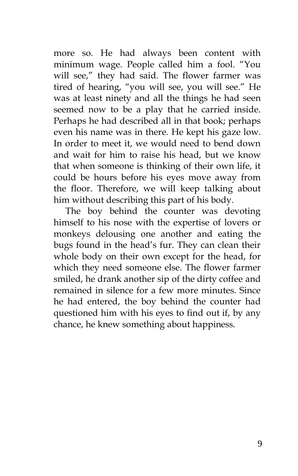more so. He had always been content with minimum wage. People called him a fool. "You will see," they had said. The flower farmer was tired of hearing, "you will see, you will see." He was at least ninety and all the things he had seen seemed now to be a play that he carried inside. Perhaps he had described all in that book; perhaps even his name was in there. He kept his gaze low. In order to meet it, we would need to bend down and wait for him to raise his head, but we know that when someone is thinking of their own life, it could be hours before his eyes move away from the floor. Therefore, we will keep talking about him without describing this part of his body.

The boy behind the counter was devoting himself to his nose with the expertise of lovers or monkeys delousing one another and eating the bugs found in the head's fur. They can clean their whole body on their own except for the head, for which they need someone else. The flower farmer smiled, he drank another sip of the dirty coffee and remained in silence for a few more minutes. Since he had entered, the boy behind the counter had questioned him with his eyes to find out if, by any chance, he knew something about happiness.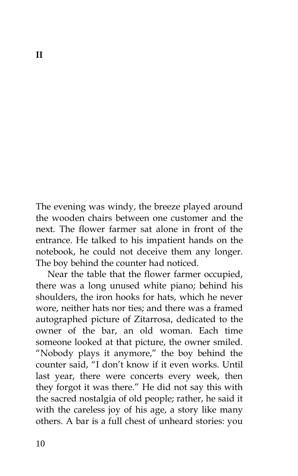The evening was windy, the breeze played around the wooden chairs between one customer and the next. The flower farmer sat alone in front of the entrance. He talked to his impatient hands on the notebook, he could not deceive them any longer. The boy behind the counter had noticed.

Near the table that the flower farmer occupied, there was a long unused white piano; behind his shoulders, the iron hooks for hats, which he never wore, neither hats nor ties; and there was a framed autographed picture of Zitarrosa, dedicated to the owner of the bar, an old woman. Each time someone looked at that picture, the owner smiled. "Nobody plays it anymore," the boy behind the counter said, "I don't know if it even works. Until last year, there were concerts every week, then they forgot it was there." He did not say this with the sacred nostalgia of old people; rather, he said it with the careless joy of his age, a story like many others. A bar is a full chest of unheard stories: you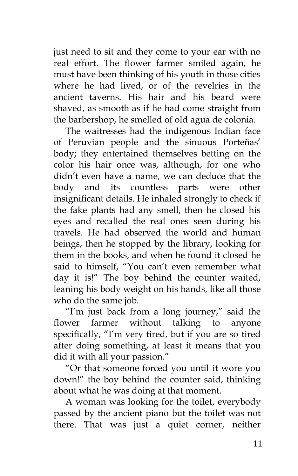just need to sit and they come to your ear with no real effort. The flower farmer smiled again, he must have been thinking of his youth in those cities where he had lived, or of the revelries in the ancient taverns. His hair and his beard were shaved, as smooth as if he had come straight from the barbershop, he smelled of old agua de colonia.

The waitresses had the indigenous Indian face of Peruvian people and the sinuous Porteñas' body; they entertained themselves betting on the color his hair once was, although, for one who didn't even have a name, we can deduce that the body and its countless parts were other insignificant details. He inhaled strongly to check if the fake plants had any smell, then he closed his eyes and recalled the real ones seen during his travels. He had observed the world and human beings, then he stopped by the library, looking for them in the books, and when he found it closed he said to himself, "You can't even remember what day it is!" The boy behind the counter waited, leaning his body weight on his hands, like all those who do the same job.

"I'm just back from a long journey," said the flower farmer without talking to anyone specifically, "I'm very tired, but if you are so tired after doing something, at least it means that you did it with all your passion."

"Or that someone forced you until it wore you down!" the boy behind the counter said, thinking about what he was doing at that moment.

A woman was looking for the toilet, everybody passed by the ancient piano but the toilet was not there. That was just a quiet corner, neither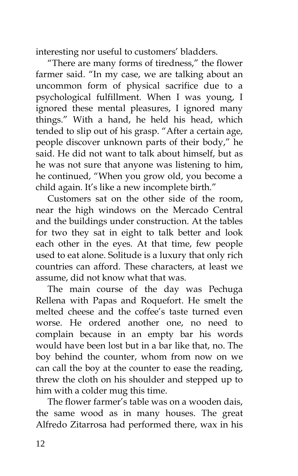interesting nor useful to customers' bladders.

"There are many forms of tiredness," the flower farmer said. "In my case, we are talking about an uncommon form of physical sacrifice due to a psychological fulfillment. When I was young, I ignored these mental pleasures, I ignored many things." With a hand, he held his head, which tended to slip out of his grasp. "After a certain age, people discover unknown parts of their body," he said. He did not want to talk about himself, but as he was not sure that anyone was listening to him, he continued, "When you grow old, you become a child again. It's like a new incomplete birth."

Customers sat on the other side of the room, near the high windows on the Mercado Central and the buildings under construction. At the tables for two they sat in eight to talk better and look each other in the eyes. At that time, few people used to eat alone. Solitude is a luxury that only rich countries can afford. These characters, at least we assume, did not know what that was.

The main course of the day was Pechuga Rellena with Papas and Roquefort. He smelt the melted cheese and the coffee's taste turned even worse. He ordered another one, no need to complain because in an empty bar his words would have been lost but in a bar like that, no. The boy behind the counter, whom from now on we can call the boy at the counter to ease the reading, threw the cloth on his shoulder and stepped up to him with a colder mug this time.

The flower farmer's table was on a wooden dais, the same wood as in many houses. The great Alfredo Zitarrosa had performed there, wax in his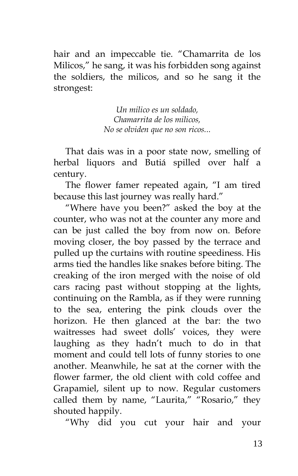hair and an impeccable tie. "Chamarrita de los Milicos," he sang, it was his forbidden song against the soldiers, the milicos, and so he sang it the strongest:

> *Un milico es un soldado, Chamarrita de los milicos, No se olviden que no son ricos...*

That dais was in a poor state now, smelling of herbal liquors and Butiá spilled over half a century.

The flower famer repeated again, "I am tired because this last journey was really hard."

"Where have you been?" asked the boy at the counter, who was not at the counter any more and can be just called the boy from now on. Before moving closer, the boy passed by the terrace and pulled up the curtains with routine speediness. His arms tied the handles like snakes before biting. The creaking of the iron merged with the noise of old cars racing past without stopping at the lights, continuing on the Rambla, as if they were running to the sea, entering the pink clouds over the horizon. He then glanced at the bar: the two waitresses had sweet dolls' voices, they were laughing as they hadn't much to do in that moment and could tell lots of funny stories to one another. Meanwhile, he sat at the corner with the flower farmer, the old client with cold coffee and Grapamiel, silent up to now. Regular customers called them by name, "Laurita," "Rosario," they shouted happily.

"Why did you cut your hair and your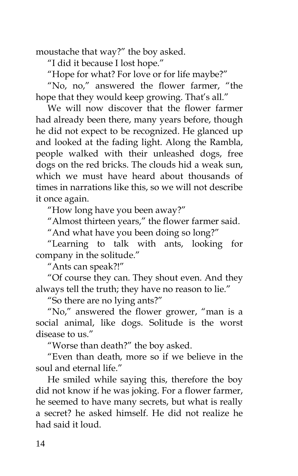moustache that way?" the boy asked.

"I did it because I lost hope."

"Hope for what? For love or for life maybe?"

"No, no," answered the flower farmer, "the hope that they would keep growing. That's all."

We will now discover that the flower farmer had already been there, many years before, though he did not expect to be recognized. He glanced up and looked at the fading light. Along the Rambla, people walked with their unleashed dogs, free dogs on the red bricks. The clouds hid a weak sun, which we must have heard about thousands of times in narrations like this, so we will not describe it once again.

"How long have you been away?"

"Almost thirteen years," the flower farmer said.

"And what have you been doing so long?"

"Learning to talk with ants, looking for company in the solitude."

"Ants can speak?!"

"Of course they can. They shout even. And they always tell the truth; they have no reason to lie."

"So there are no lying ants?"

"No," answered the flower grower, "man is a social animal, like dogs. Solitude is the worst disease to us."

"Worse than death?" the boy asked.

"Even than death, more so if we believe in the soul and eternal life."

He smiled while saying this, therefore the boy did not know if he was joking. For a flower farmer, he seemed to have many secrets, but what is really a secret? he asked himself. He did not realize he had said it loud.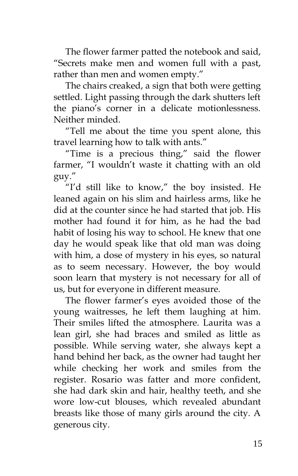The flower farmer patted the notebook and said, "Secrets make men and women full with a past, rather than men and women empty."

The chairs creaked, a sign that both were getting settled. Light passing through the dark shutters left the piano's corner in a delicate motionlessness. Neither minded.

"Tell me about the time you spent alone, this travel learning how to talk with ants."

"Time is a precious thing," said the flower farmer, "I wouldn't waste it chatting with an old guy."

"I'd still like to know," the boy insisted. He leaned again on his slim and hairless arms, like he did at the counter since he had started that job. His mother had found it for him, as he had the bad habit of losing his way to school. He knew that one day he would speak like that old man was doing with him, a dose of mystery in his eyes, so natural as to seem necessary. However, the boy would soon learn that mystery is not necessary for all of us, but for everyone in different measure.

The flower farmer's eyes avoided those of the young waitresses, he left them laughing at him. Their smiles lifted the atmosphere. Laurita was a lean girl, she had braces and smiled as little as possible. While serving water, she always kept a hand behind her back, as the owner had taught her while checking her work and smiles from the register. Rosario was fatter and more confident, she had dark skin and hair, healthy teeth, and she wore low-cut blouses, which revealed abundant breasts like those of many girls around the city. A generous city.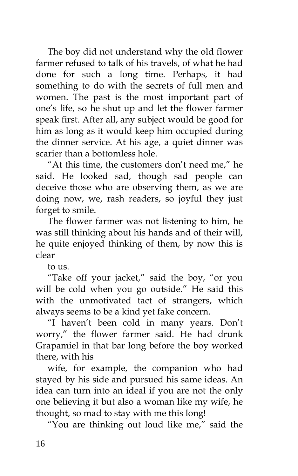The boy did not understand why the old flower farmer refused to talk of his travels, of what he had done for such a long time. Perhaps, it had something to do with the secrets of full men and women. The past is the most important part of one's life, so he shut up and let the flower farmer speak first. After all, any subject would be good for him as long as it would keep him occupied during the dinner service. At his age, a quiet dinner was scarier than a bottomless hole.

"At this time, the customers don't need me," he said. He looked sad, though sad people can deceive those who are observing them, as we are doing now, we, rash readers, so joyful they just forget to smile.

The flower farmer was not listening to him, he was still thinking about his hands and of their will, he quite enjoyed thinking of them, by now this is clear

to  $11S$ 

"Take off your jacket," said the boy, "or you will be cold when you go outside." He said this with the unmotivated tact of strangers, which always seems to be a kind yet fake concern.

"I haven't been cold in many years. Don't worry," the flower farmer said. He had drunk Grapamiel in that bar long before the boy worked there, with his

wife, for example, the companion who had stayed by his side and pursued his same ideas. An idea can turn into an ideal if you are not the only one believing it but also a woman like my wife, he thought, so mad to stay with me this long!

"You are thinking out loud like me," said the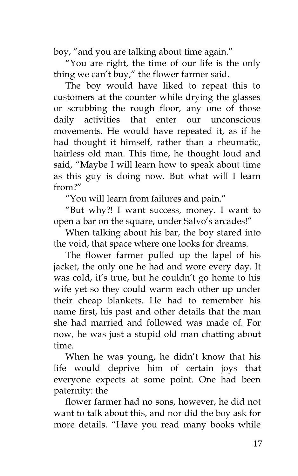boy, "and you are talking about time again."

"You are right, the time of our life is the only thing we can't buy," the flower farmer said.

The boy would have liked to repeat this to customers at the counter while drying the glasses or scrubbing the rough floor, any one of those daily activities that enter our unconscious movements. He would have repeated it, as if he had thought it himself, rather than a rheumatic, hairless old man. This time, he thought loud and said, "Maybe I will learn how to speak about time as this guy is doing now. But what will I learn from?"

"You will learn from failures and pain."

"But why?! I want success, money. I want to open a bar on the square, under Salvo's arcades!"

When talking about his bar, the boy stared into the void, that space where one looks for dreams.

The flower farmer pulled up the lapel of his jacket, the only one he had and wore every day. It was cold, it's true, but he couldn't go home to his wife yet so they could warm each other up under their cheap blankets. He had to remember his name first, his past and other details that the man she had married and followed was made of. For now, he was just a stupid old man chatting about time.

When he was young, he didn't know that his life would deprive him of certain joys that everyone expects at some point. One had been paternity: the

flower farmer had no sons, however, he did not want to talk about this, and nor did the boy ask for more details. "Have you read many books while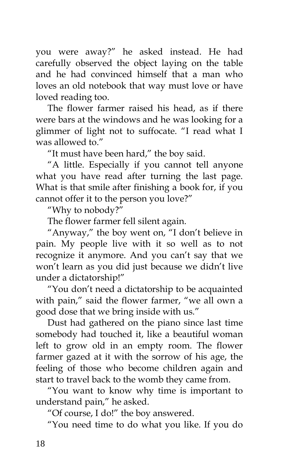you were away?" he asked instead. He had carefully observed the object laying on the table and he had convinced himself that a man who loves an old notebook that way must love or have loved reading too.

The flower farmer raised his head, as if there were bars at the windows and he was looking for a glimmer of light not to suffocate. "I read what I was allowed to."

"It must have been hard," the boy said.

"A little. Especially if you cannot tell anyone what you have read after turning the last page. What is that smile after finishing a book for, if you cannot offer it to the person you love?"

"Why to nobody?"

The flower farmer fell silent again.

"Anyway," the boy went on, "I don't believe in pain. My people live with it so well as to not recognize it anymore. And you can't say that we won't learn as you did just because we didn't live under a dictatorship!"

"You don't need a dictatorship to be acquainted with pain," said the flower farmer, "we all own a good dose that we bring inside with us."

Dust had gathered on the piano since last time somebody had touched it, like a beautiful woman left to grow old in an empty room. The flower farmer gazed at it with the sorrow of his age, the feeling of those who become children again and start to travel back to the womb they came from.

"You want to know why time is important to understand pain," he asked.

"Of course, I do!" the boy answered.

"You need time to do what you like. If you do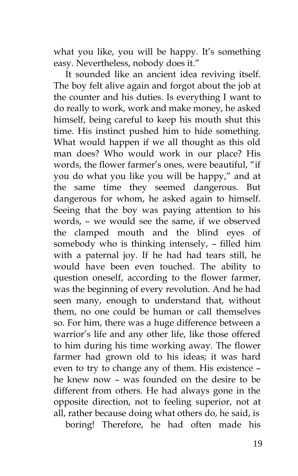what you like, you will be happy. It's something easy. Nevertheless, nobody does it."

It sounded like an ancient idea reviving itself. The boy felt alive again and forgot about the job at the counter and his duties. Is everything I want to do really to work, work and make money, he asked himself, being careful to keep his mouth shut this time. His instinct pushed him to hide something. What would happen if we all thought as this old man does? Who would work in our place? His words, the flower farmer's ones, were beautiful, "if you do what you like you will be happy," and at the same time they seemed dangerous. But dangerous for whom, he asked again to himself. Seeing that the boy was paying attention to his words, – we would see the same, if we observed the clamped mouth and the blind eyes of somebody who is thinking intensely, – filled him with a paternal joy. If he had had tears still, he would have been even touched. The ability to question oneself, according to the flower farmer, was the beginning of every revolution. And he had seen many, enough to understand that, without them, no one could be human or call themselves so. For him, there was a huge difference between a warrior's life and any other life, like those offered to him during his time working away. The flower farmer had grown old to his ideas; it was hard even to try to change any of them. His existence – he knew now – was founded on the desire to be different from others. He had always gone in the opposite direction, not to feeling superior, not at all, rather because doing what others do, he said, is

boring! Therefore, he had often made his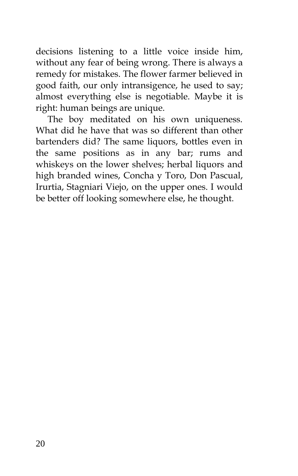decisions listening to a little voice inside him, without any fear of being wrong. There is always a remedy for mistakes. The flower farmer believed in good faith, our only intransigence, he used to say; almost everything else is negotiable. Maybe it is right: human beings are unique.

The boy meditated on his own uniqueness. What did he have that was so different than other bartenders did? The same liquors, bottles even in the same positions as in any bar; rums and whiskeys on the lower shelves; herbal liquors and high branded wines, Concha y Toro, Don Pascual, Irurtia, Stagniari Viejo, on the upper ones. I would be better off looking somewhere else, he thought.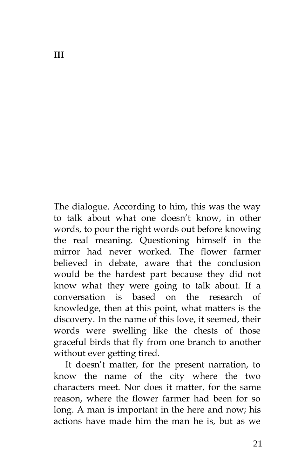The dialogue. According to him, this was the way to talk about what one doesn't know, in other words, to pour the right words out before knowing the real meaning. Questioning himself in the mirror had never worked. The flower farmer believed in debate, aware that the conclusion would be the hardest part because they did not know what they were going to talk about. If a conversation is based on the research of knowledge, then at this point, what matters is the discovery. In the name of this love, it seemed, their words were swelling like the chests of those graceful birds that fly from one branch to another without ever getting tired.

It doesn't matter, for the present narration, to know the name of the city where the two characters meet. Nor does it matter, for the same reason, where the flower farmer had been for so long. A man is important in the here and now; his actions have made him the man he is, but as we

**III**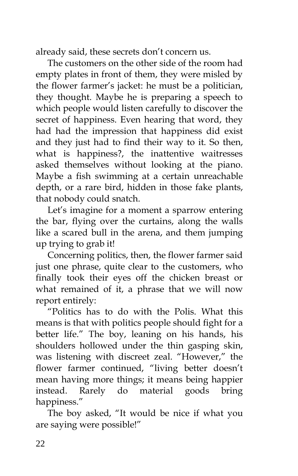already said, these secrets don't concern us.

The customers on the other side of the room had empty plates in front of them, they were misled by the flower farmer's jacket: he must be a politician, they thought. Maybe he is preparing a speech to which people would listen carefully to discover the secret of happiness. Even hearing that word, they had had the impression that happiness did exist and they just had to find their way to it. So then, what is happiness?, the inattentive waitresses asked themselves without looking at the piano. Maybe a fish swimming at a certain unreachable depth, or a rare bird, hidden in those fake plants, that nobody could snatch.

Let's imagine for a moment a sparrow entering the bar, flying over the curtains, along the walls like a scared bull in the arena, and them jumping up trying to grab it!

Concerning politics, then, the flower farmer said just one phrase, quite clear to the customers, who finally took their eyes off the chicken breast or what remained of it, a phrase that we will now report entirely:

"Politics has to do with the Polis. What this means is that with politics people should fight for a better life." The boy, leaning on his hands, his shoulders hollowed under the thin gasping skin, was listening with discreet zeal. "However," the flower farmer continued, "living better doesn't mean having more things; it means being happier instead. Rarely do material goods bring happiness."

The boy asked, "It would be nice if what you are saying were possible!"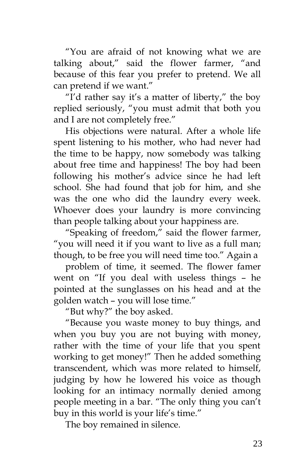"You are afraid of not knowing what we are talking about," said the flower farmer, "and because of this fear you prefer to pretend. We all can pretend if we want."

"I'd rather say it's a matter of liberty," the boy replied seriously, "you must admit that both you and I are not completely free."

His objections were natural. After a whole life spent listening to his mother, who had never had the time to be happy, now somebody was talking about free time and happiness! The boy had been following his mother's advice since he had left school. She had found that job for him, and she was the one who did the laundry every week. Whoever does your laundry is more convincing than people talking about your happiness are.

"Speaking of freedom," said the flower farmer, "you will need it if you want to live as a full man; though, to be free you will need time too." Again a

problem of time, it seemed. The flower famer went on "If you deal with useless things – he pointed at the sunglasses on his head and at the golden watch – you will lose time."

"But why?" the boy asked.

"Because you waste money to buy things, and when you buy you are not buying with money, rather with the time of your life that you spent working to get money!" Then he added something transcendent, which was more related to himself, judging by how he lowered his voice as though looking for an intimacy normally denied among people meeting in a bar. "The only thing you can't buy in this world is your life's time."

The boy remained in silence.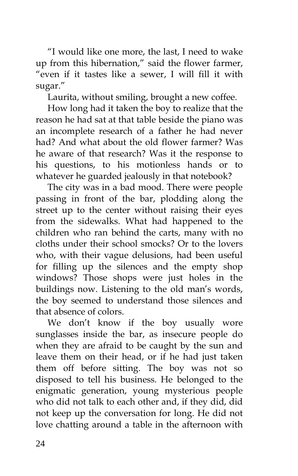"I would like one more, the last, I need to wake up from this hibernation," said the flower farmer, "even if it tastes like a sewer, I will fill it with sugar."

Laurita, without smiling, brought a new coffee.

How long had it taken the boy to realize that the reason he had sat at that table beside the piano was an incomplete research of a father he had never had? And what about the old flower farmer? Was he aware of that research? Was it the response to his questions, to his motionless hands or to whatever he guarded jealously in that notebook?

The city was in a bad mood. There were people passing in front of the bar, plodding along the street up to the center without raising their eyes from the sidewalks. What had happened to the children who ran behind the carts, many with no cloths under their school smocks? Or to the lovers who, with their vague delusions, had been useful for filling up the silences and the empty shop windows? Those shops were just holes in the buildings now. Listening to the old man's words, the boy seemed to understand those silences and that absence of colors.

We don't know if the boy usually wore sunglasses inside the bar, as insecure people do when they are afraid to be caught by the sun and leave them on their head, or if he had just taken them off before sitting. The boy was not so disposed to tell his business. He belonged to the enigmatic generation, young mysterious people who did not talk to each other and, if they did, did not keep up the conversation for long. He did not love chatting around a table in the afternoon with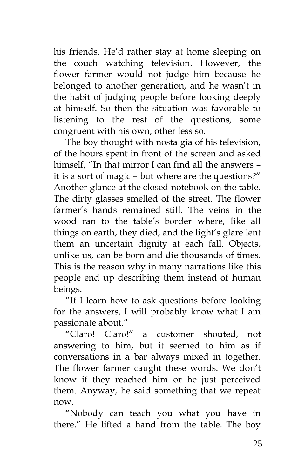his friends. He'd rather stay at home sleeping on the couch watching television. However, the flower farmer would not judge him because he belonged to another generation, and he wasn't in the habit of judging people before looking deeply at himself. So then the situation was favorable to listening to the rest of the questions, some congruent with his own, other less so.

The boy thought with nostalgia of his television, of the hours spent in front of the screen and asked himself, "In that mirror I can find all the answers – it is a sort of magic – but where are the questions?" Another glance at the closed notebook on the table. The dirty glasses smelled of the street. The flower farmer's hands remained still. The veins in the wood ran to the table's border where, like all things on earth, they died, and the light's glare lent them an uncertain dignity at each fall. Objects, unlike us, can be born and die thousands of times. This is the reason why in many narrations like this people end up describing them instead of human beings.

"If I learn how to ask questions before looking for the answers, I will probably know what I am passionate about."

"Claro! Claro!" a customer shouted, not answering to him, but it seemed to him as if conversations in a bar always mixed in together. The flower farmer caught these words. We don't know if they reached him or he just perceived them. Anyway, he said something that we repeat now.

"Nobody can teach you what you have in there." He lifted a hand from the table. The boy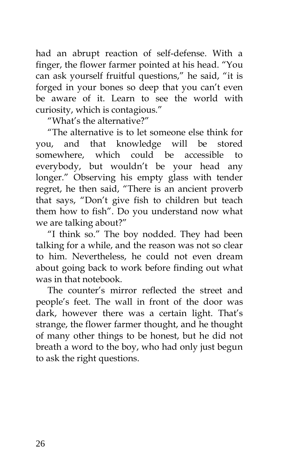had an abrupt reaction of self-defense. With a finger, the flower farmer pointed at his head. "You can ask yourself fruitful questions," he said, "it is forged in your bones so deep that you can't even be aware of it. Learn to see the world with curiosity, which is contagious."

"What's the alternative?"

"The alternative is to let someone else think for you, and that knowledge will be stored somewhere, which could be accessible to everybody, but wouldn't be your head any longer." Observing his empty glass with tender regret, he then said, "There is an ancient proverb that says, "Don't give fish to children but teach them how to fish". Do you understand now what we are talking about?"

"I think so." The boy nodded. They had been talking for a while, and the reason was not so clear to him. Nevertheless, he could not even dream about going back to work before finding out what was in that notebook.

The counter's mirror reflected the street and people's feet. The wall in front of the door was dark, however there was a certain light. That's strange, the flower farmer thought, and he thought of many other things to be honest, but he did not breath a word to the boy, who had only just begun to ask the right questions.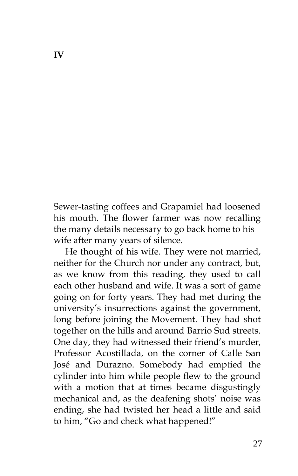Sewer-tasting coffees and Grapamiel had loosened his mouth. The flower farmer was now recalling the many details necessary to go back home to his wife after many years of silence.

He thought of his wife. They were not married, neither for the Church nor under any contract, but, as we know from this reading, they used to call each other husband and wife. It was a sort of game going on for forty years. They had met during the university's insurrections against the government, long before joining the Movement. They had shot together on the hills and around Barrio Sud streets. One day, they had witnessed their friend's murder, Professor Acostillada, on the corner of Calle San José and Durazno. Somebody had emptied the cylinder into him while people flew to the ground with a motion that at times became disgustingly mechanical and, as the deafening shots' noise was ending, she had twisted her head a little and said to him, "Go and check what happened!"

**IV**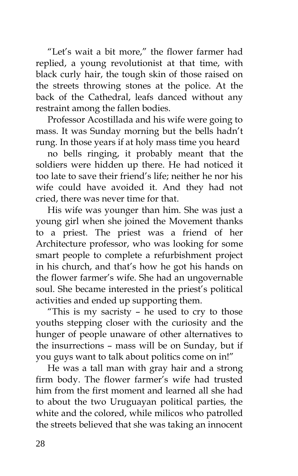"Let's wait a bit more," the flower farmer had replied, a young revolutionist at that time, with black curly hair, the tough skin of those raised on the streets throwing stones at the police. At the back of the Cathedral, leafs danced without any restraint among the fallen bodies.

Professor Acostillada and his wife were going to mass. It was Sunday morning but the bells hadn't rung. In those years if at holy mass time you heard

no bells ringing, it probably meant that the soldiers were hidden up there. He had noticed it too late to save their friend's life; neither he nor his wife could have avoided it. And they had not cried, there was never time for that.

His wife was younger than him. She was just a young girl when she joined the Movement thanks to a priest. The priest was a friend of her Architecture professor, who was looking for some smart people to complete a refurbishment project in his church, and that's how he got his hands on the flower farmer's wife. She had an ungovernable soul. She became interested in the priest's political activities and ended up supporting them.

"This is my sacristy – he used to cry to those youths stepping closer with the curiosity and the hunger of people unaware of other alternatives to the insurrections – mass will be on Sunday, but if you guys want to talk about politics come on in!"

He was a tall man with gray hair and a strong firm body. The flower farmer's wife had trusted him from the first moment and learned all she had to about the two Uruguayan political parties, the white and the colored, while milicos who patrolled the streets believed that she was taking an innocent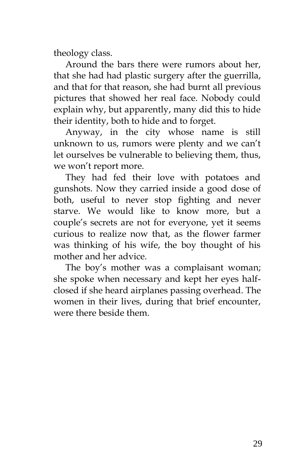theology class.

Around the bars there were rumors about her, that she had had plastic surgery after the guerrilla, and that for that reason, she had burnt all previous pictures that showed her real face. Nobody could explain why, but apparently, many did this to hide their identity, both to hide and to forget.

Anyway, in the city whose name is still unknown to us, rumors were plenty and we can't let ourselves be vulnerable to believing them, thus, we won't report more.

They had fed their love with potatoes and gunshots. Now they carried inside a good dose of both, useful to never stop fighting and never starve. We would like to know more, but a couple's secrets are not for everyone, yet it seems curious to realize now that, as the flower farmer was thinking of his wife, the boy thought of his mother and her advice.

The boy's mother was a complaisant woman; she spoke when necessary and kept her eyes halfclosed if she heard airplanes passing overhead. The women in their lives, during that brief encounter, were there beside them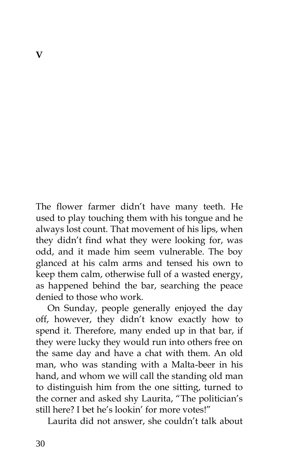The flower farmer didn't have many teeth. He used to play touching them with his tongue and he always lost count. That movement of his lips, when they didn't find what they were looking for, was odd, and it made him seem vulnerable. The boy glanced at his calm arms and tensed his own to keep them calm, otherwise full of a wasted energy, as happened behind the bar, searching the peace denied to those who work.

On Sunday, people generally enjoyed the day off, however, they didn't know exactly how to spend it. Therefore, many ended up in that bar, if they were lucky they would run into others free on the same day and have a chat with them. An old man, who was standing with a Malta-beer in his hand, and whom we will call the standing old man to distinguish him from the one sitting, turned to the corner and asked shy Laurita, "The politician's still here? I bet he's lookin' for more votes!"

Laurita did not answer, she couldn't talk about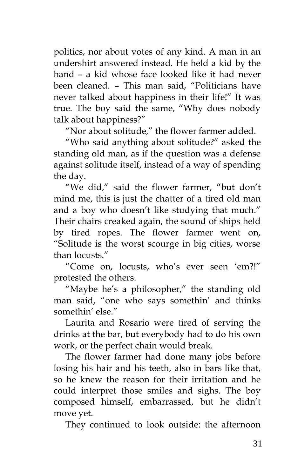politics, nor about votes of any kind. A man in an undershirt answered instead. He held a kid by the hand – a kid whose face looked like it had never been cleaned. – This man said, "Politicians have never talked about happiness in their life!" It was true. The boy said the same, "Why does nobody talk about happiness?"

"Nor about solitude," the flower farmer added.

"Who said anything about solitude?" asked the standing old man, as if the question was a defense against solitude itself, instead of a way of spending the day.

"We did," said the flower farmer, "but don't mind me, this is just the chatter of a tired old man and a boy who doesn't like studying that much." Their chairs creaked again, the sound of ships held by tired ropes. The flower farmer went on, "Solitude is the worst scourge in big cities, worse than locusts."

"Come on, locusts, who's ever seen 'em?!" protested the others.

"Maybe he's a philosopher," the standing old man said, "one who says somethin' and thinks somethin' else."

Laurita and Rosario were tired of serving the drinks at the bar, but everybody had to do his own work, or the perfect chain would break.

The flower farmer had done many jobs before losing his hair and his teeth, also in bars like that, so he knew the reason for their irritation and he could interpret those smiles and sighs. The boy composed himself, embarrassed, but he didn't move yet.

They continued to look outside: the afternoon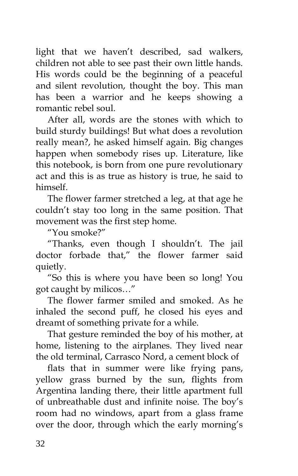light that we haven't described, sad walkers, children not able to see past their own little hands. His words could be the beginning of a peaceful and silent revolution, thought the boy. This man has been a warrior and he keeps showing a romantic rebel soul.

After all, words are the stones with which to build sturdy buildings! But what does a revolution really mean?, he asked himself again. Big changes happen when somebody rises up. Literature, like this notebook, is born from one pure revolutionary act and this is as true as history is true, he said to himself.

The flower farmer stretched a leg, at that age he couldn't stay too long in the same position. That movement was the first step home.

"You smoke?"

"Thanks, even though I shouldn't. The jail doctor forbade that," the flower farmer said quietly.

"So this is where you have been so long! You got caught by milicos…"

The flower farmer smiled and smoked. As he inhaled the second puff, he closed his eyes and dreamt of something private for a while.

That gesture reminded the boy of his mother, at home, listening to the airplanes. They lived near the old terminal, Carrasco Nord, a cement block of

flats that in summer were like frying pans, yellow grass burned by the sun, flights from Argentina landing there, their little apartment full of unbreathable dust and infinite noise. The boy's room had no windows, apart from a glass frame over the door, through which the early morning's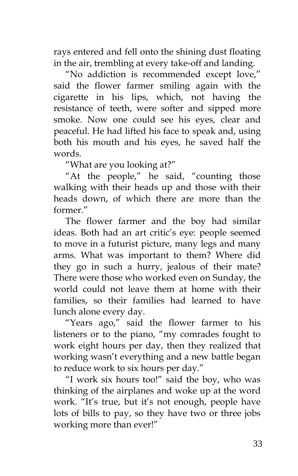rays entered and fell onto the shining dust floating in the air, trembling at every take-off and landing.

"No addiction is recommended except love," said the flower farmer smiling again with the cigarette in his lips, which, not having the resistance of teeth, were softer and sipped more smoke. Now one could see his eyes, clear and peaceful. He had lifted his face to speak and, using both his mouth and his eyes, he saved half the words.

"What are you looking at?"

"At the people," he said, "counting those walking with their heads up and those with their heads down, of which there are more than the former."

The flower farmer and the boy had similar ideas. Both had an art critic's eye: people seemed to move in a futurist picture, many legs and many arms. What was important to them? Where did they go in such a hurry, jealous of their mate? There were those who worked even on Sunday, the world could not leave them at home with their families, so their families had learned to have lunch alone every day.

"Years ago," said the flower farmer to his listeners or to the piano, "my comrades fought to work eight hours per day, then they realized that working wasn't everything and a new battle began to reduce work to six hours per day."

"I work six hours too!" said the boy, who was thinking of the airplanes and woke up at the word work. "It's true, but it's not enough, people have lots of bills to pay, so they have two or three jobs working more than ever!"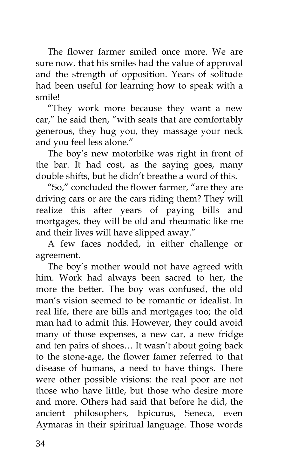The flower farmer smiled once more. We are sure now, that his smiles had the value of approval and the strength of opposition. Years of solitude had been useful for learning how to speak with a smile!

"They work more because they want a new car," he said then, "with seats that are comfortably generous, they hug you, they massage your neck and you feel less alone."

The boy's new motorbike was right in front of the bar. It had cost, as the saying goes, many double shifts, but he didn't breathe a word of this.

"So," concluded the flower farmer, "are they are driving cars or are the cars riding them? They will realize this after years of paying bills and mortgages, they will be old and rheumatic like me and their lives will have slipped away."

A few faces nodded, in either challenge or agreement.

The boy's mother would not have agreed with him. Work had always been sacred to her, the more the better. The boy was confused, the old man's vision seemed to be romantic or idealist. In real life, there are bills and mortgages too; the old man had to admit this. However, they could avoid many of those expenses, a new car, a new fridge and ten pairs of shoes… It wasn't about going back to the stone-age, the flower famer referred to that disease of humans, a need to have things. There were other possible visions: the real poor are not those who have little, but those who desire more and more. Others had said that before he did, the ancient philosophers, Epicurus, Seneca, even Aymaras in their spiritual language. Those words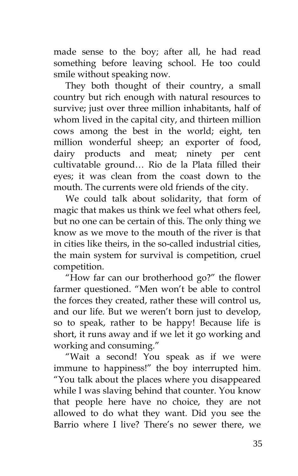made sense to the boy; after all, he had read something before leaving school. He too could smile without speaking now.

They both thought of their country, a small country but rich enough with natural resources to survive; just over three million inhabitants, half of whom lived in the capital city, and thirteen million cows among the best in the world; eight, ten million wonderful sheep; an exporter of food, dairy products and meat; ninety per cent cultivatable ground… Rio de la Plata filled their eyes; it was clean from the coast down to the mouth. The currents were old friends of the city.

We could talk about solidarity, that form of magic that makes us think we feel what others feel, but no one can be certain of this. The only thing we know as we move to the mouth of the river is that in cities like theirs, in the so-called industrial cities, the main system for survival is competition, cruel competition.

"How far can our brotherhood go?" the flower farmer questioned. "Men won't be able to control the forces they created, rather these will control us, and our life. But we weren't born just to develop, so to speak, rather to be happy! Because life is short, it runs away and if we let it go working and working and consuming."

"Wait a second! You speak as if we were immune to happiness!" the boy interrupted him. "You talk about the places where you disappeared while I was slaving behind that counter. You know that people here have no choice, they are not allowed to do what they want. Did you see the Barrio where I live? There's no sewer there, we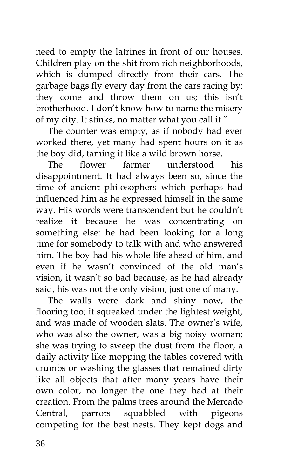need to empty the latrines in front of our houses. Children play on the shit from rich neighborhoods, which is dumped directly from their cars. The garbage bags fly every day from the cars racing by: they come and throw them on us; this isn't brotherhood. I don't know how to name the misery of my city. It stinks, no matter what you call it."

The counter was empty, as if nobody had ever worked there, yet many had spent hours on it as the boy did, taming it like a wild brown horse.

The flower farmer understood his disappointment. It had always been so, since the time of ancient philosophers which perhaps had influenced him as he expressed himself in the same way. His words were transcendent but he couldn't realize it because he was concentrating on something else: he had been looking for a long time for somebody to talk with and who answered him. The boy had his whole life ahead of him, and even if he wasn't convinced of the old man's vision, it wasn't so bad because, as he had already said, his was not the only vision, just one of many.

The walls were dark and shiny now, the flooring too; it squeaked under the lightest weight, and was made of wooden slats. The owner's wife, who was also the owner, was a big noisy woman; she was trying to sweep the dust from the floor, a daily activity like mopping the tables covered with crumbs or washing the glasses that remained dirty like all objects that after many years have their own color, no longer the one they had at their creation. From the palms trees around the Mercado Central, parrots squabbled with pigeons competing for the best nests. They kept dogs and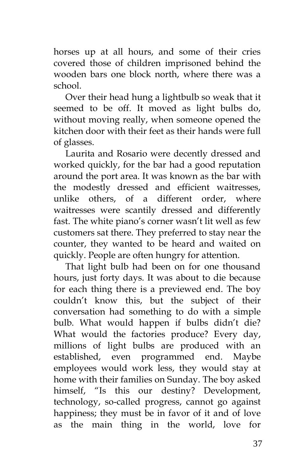horses up at all hours, and some of their cries covered those of children imprisoned behind the wooden bars one block north, where there was a school.

Over their head hung a lightbulb so weak that it seemed to be off. It moved as light bulbs do, without moving really, when someone opened the kitchen door with their feet as their hands were full of glasses.

Laurita and Rosario were decently dressed and worked quickly, for the bar had a good reputation around the port area. It was known as the bar with the modestly dressed and efficient waitresses, unlike others, of a different order, where waitresses were scantily dressed and differently fast. The white piano's corner wasn't lit well as few customers sat there. They preferred to stay near the counter, they wanted to be heard and waited on quickly. People are often hungry for attention.

That light bulb had been on for one thousand hours, just forty days. It was about to die because for each thing there is a previewed end. The boy couldn't know this, but the subject of their conversation had something to do with a simple bulb. What would happen if bulbs didn't die? What would the factories produce? Every day, millions of light bulbs are produced with an established, even programmed end. Maybe employees would work less, they would stay at home with their families on Sunday. The boy asked himself, "Is this our destiny? Development, technology, so-called progress, cannot go against happiness; they must be in favor of it and of love as the main thing in the world, love for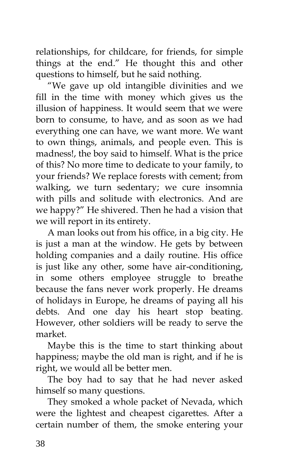relationships, for childcare, for friends, for simple things at the end." He thought this and other questions to himself, but he said nothing.

"We gave up old intangible divinities and we fill in the time with money which gives us the illusion of happiness. It would seem that we were born to consume, to have, and as soon as we had everything one can have, we want more. We want to own things, animals, and people even. This is madness!, the boy said to himself. What is the price of this? No more time to dedicate to your family, to your friends? We replace forests with cement; from walking, we turn sedentary; we cure insomnia with pills and solitude with electronics. And are we happy?" He shivered. Then he had a vision that we will report in its entirety.

A man looks out from his office, in a big city. He is just a man at the window. He gets by between holding companies and a daily routine. His office is just like any other, some have air-conditioning, in some others employee struggle to breathe because the fans never work properly. He dreams of holidays in Europe, he dreams of paying all his debts. And one day his heart stop beating. However, other soldiers will be ready to serve the market.

Maybe this is the time to start thinking about happiness; maybe the old man is right, and if he is right, we would all be better men.

The boy had to say that he had never asked himself so many questions.

They smoked a whole packet of Nevada, which were the lightest and cheapest cigarettes. After a certain number of them, the smoke entering your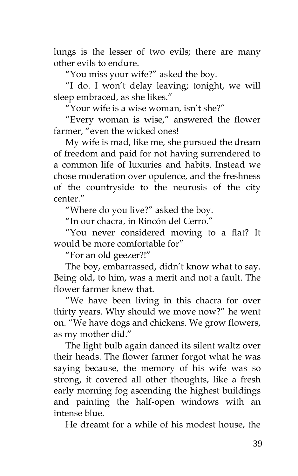lungs is the lesser of two evils; there are many other evils to endure.

"You miss your wife?" asked the boy.

"I do. I won't delay leaving; tonight, we will sleep embraced, as she likes."

"Your wife is a wise woman, isn't she?"

"Every woman is wise," answered the flower farmer, "even the wicked ones!

My wife is mad, like me, she pursued the dream of freedom and paid for not having surrendered to a common life of luxuries and habits. Instead we chose moderation over opulence, and the freshness of the countryside to the neurosis of the city center."

"Where do you live?" asked the boy.

"In our chacra, in Rincón del Cerro."

"You never considered moving to a flat? It would be more comfortable for"

"For an old geezer?!"

The boy, embarrassed, didn't know what to say. Being old, to him, was a merit and not a fault. The flower farmer knew that.

"We have been living in this chacra for over thirty years. Why should we move now?" he went on. "We have dogs and chickens. We grow flowers, as my mother did."

The light bulb again danced its silent waltz over their heads. The flower farmer forgot what he was saying because, the memory of his wife was so strong, it covered all other thoughts, like a fresh early morning fog ascending the highest buildings and painting the half-open windows with an intense blue.

He dreamt for a while of his modest house, the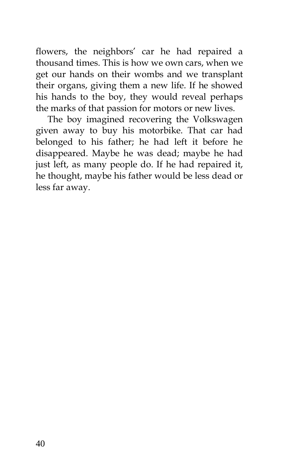flowers, the neighbors' car he had repaired a thousand times. This is how we own cars, when we get our hands on their wombs and we transplant their organs, giving them a new life. If he showed his hands to the boy, they would reveal perhaps the marks of that passion for motors or new lives.

The boy imagined recovering the Volkswagen given away to buy his motorbike. That car had belonged to his father; he had left it before he disappeared. Maybe he was dead; maybe he had just left, as many people do. If he had repaired it, he thought, maybe his father would be less dead or less far away.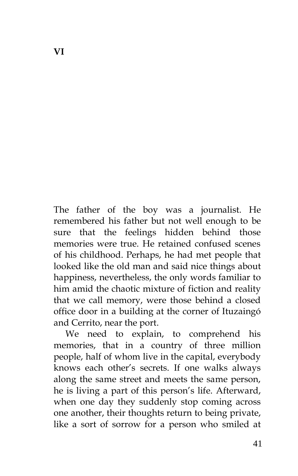The father of the boy was a journalist. He remembered his father but not well enough to be sure that the feelings hidden behind those memories were true. He retained confused scenes of his childhood. Perhaps, he had met people that looked like the old man and said nice things about happiness, nevertheless, the only words familiar to him amid the chaotic mixture of fiction and reality that we call memory, were those behind a closed office door in a building at the corner of Ituzaingó and Cerrito, near the port.

We need to explain, to comprehend his memories, that in a country of three million people, half of whom live in the capital, everybody knows each other's secrets. If one walks always along the same street and meets the same person, he is living a part of this person's life. Afterward, when one day they suddenly stop coming across one another, their thoughts return to being private, like a sort of sorrow for a person who smiled at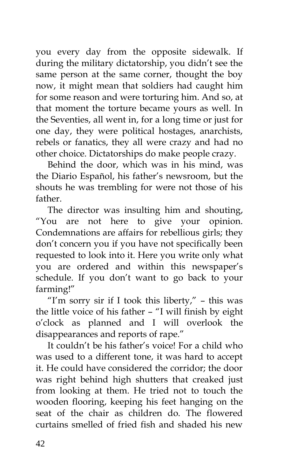you every day from the opposite sidewalk. If during the military dictatorship, you didn't see the same person at the same corner, thought the boy now, it might mean that soldiers had caught him for some reason and were torturing him. And so, at that moment the torture became yours as well. In the Seventies, all went in, for a long time or just for one day, they were political hostages, anarchists, rebels or fanatics, they all were crazy and had no other choice. Dictatorships do make people crazy.

Behind the door, which was in his mind, was the Diario Español, his father's newsroom, but the shouts he was trembling for were not those of his father.

The director was insulting him and shouting, "You are not here to give your opinion. Condemnations are affairs for rebellious girls; they don't concern you if you have not specifically been requested to look into it. Here you write only what you are ordered and within this newspaper's schedule. If you don't want to go back to your farming!"

"I'm sorry sir if I took this liberty,"  $-$  this was the little voice of his father – "I will finish by eight o'clock as planned and I will overlook the disappearances and reports of rape."

It couldn't be his father's voice! For a child who was used to a different tone, it was hard to accept it. He could have considered the corridor; the door was right behind high shutters that creaked just from looking at them. He tried not to touch the wooden flooring, keeping his feet hanging on the seat of the chair as children do. The flowered curtains smelled of fried fish and shaded his new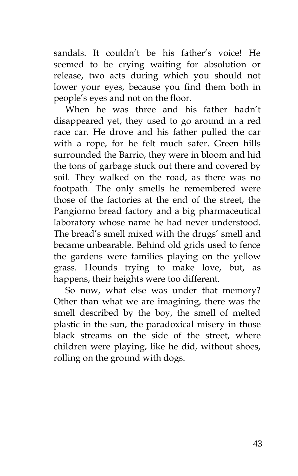sandals. It couldn't be his father's voice! He seemed to be crying waiting for absolution or release, two acts during which you should not lower your eyes, because you find them both in people's eyes and not on the floor.

When he was three and his father hadn't disappeared yet, they used to go around in a red race car. He drove and his father pulled the car with a rope, for he felt much safer. Green hills surrounded the Barrio, they were in bloom and hid the tons of garbage stuck out there and covered by soil. They walked on the road, as there was no footpath. The only smells he remembered were those of the factories at the end of the street, the Pangiorno bread factory and a big pharmaceutical laboratory whose name he had never understood. The bread's smell mixed with the drugs' smell and became unbearable. Behind old grids used to fence the gardens were families playing on the yellow grass. Hounds trying to make love, but, as happens, their heights were too different.

So now, what else was under that memory? Other than what we are imagining, there was the smell described by the boy, the smell of melted plastic in the sun, the paradoxical misery in those black streams on the side of the street, where children were playing, like he did, without shoes, rolling on the ground with dogs.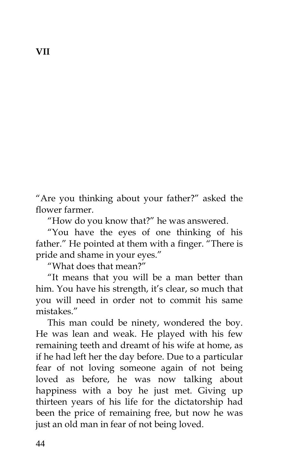"Are you thinking about your father?" asked the flower farmer.

"How do you know that?" he was answered.

"You have the eyes of one thinking of his father." He pointed at them with a finger. "There is pride and shame in your eyes."

"What does that mean?"

"It means that you will be a man better than him. You have his strength, it's clear, so much that you will need in order not to commit his same mistakes."

This man could be ninety, wondered the boy. He was lean and weak. He played with his few remaining teeth and dreamt of his wife at home, as if he had left her the day before. Due to a particular fear of not loving someone again of not being loved as before, he was now talking about happiness with a boy he just met. Giving up thirteen years of his life for the dictatorship had been the price of remaining free, but now he was just an old man in fear of not being loved.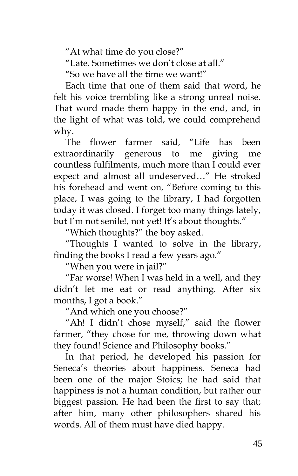"At what time do you close?"

"Late. Sometimes we don't close at all."

"So we have all the time we want!"

Each time that one of them said that word, he felt his voice trembling like a strong unreal noise. That word made them happy in the end, and, in the light of what was told, we could comprehend why.

The flower farmer said, "Life has been extraordinarily generous to me giving me countless fulfilments, much more than I could ever expect and almost all undeserved…" He stroked his forehead and went on, "Before coming to this place, I was going to the library, I had forgotten today it was closed. I forget too many things lately, but I'm not senile!, not yet! It's about thoughts."

"Which thoughts?" the boy asked.

"Thoughts I wanted to solve in the library, finding the books I read a few years ago."

"When you were in jail?"

"Far worse! When I was held in a well, and they didn't let me eat or read anything. After six months, I got a book."

"And which one you choose?"

"Ah! I didn't chose myself," said the flower farmer, "they chose for me, throwing down what they found! Science and Philosophy books."

In that period, he developed his passion for Seneca's theories about happiness. Seneca had been one of the major Stoics; he had said that happiness is not a human condition, but rather our biggest passion. He had been the first to say that; after him, many other philosophers shared his words. All of them must have died happy.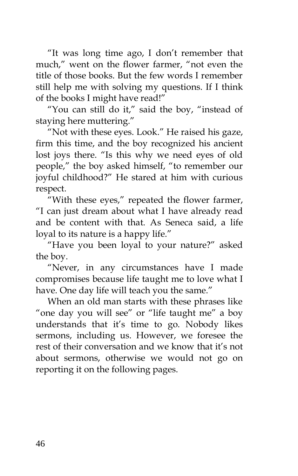"It was long time ago, I don't remember that much," went on the flower farmer, "not even the title of those books. But the few words I remember still help me with solving my questions. If I think of the books I might have read!"

"You can still do it," said the boy, "instead of staying here muttering."

"Not with these eyes. Look." He raised his gaze, firm this time, and the boy recognized his ancient lost joys there. "Is this why we need eyes of old people," the boy asked himself, "to remember our joyful childhood?" He stared at him with curious respect.

"With these eyes," repeated the flower farmer, "I can just dream about what I have already read and be content with that. As Seneca said, a life loyal to its nature is a happy life."

"Have you been loyal to your nature?" asked the boy.

"Never, in any circumstances have I made compromises because life taught me to love what I have. One day life will teach you the same."

When an old man starts with these phrases like "one day you will see" or "life taught me" a boy understands that it's time to go. Nobody likes sermons, including us. However, we foresee the rest of their conversation and we know that it's not about sermons, otherwise we would not go on reporting it on the following pages.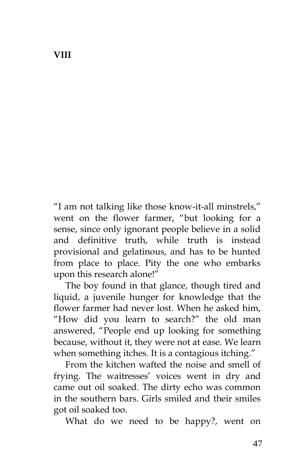**VIII**

"I am not talking like those know-it-all minstrels," went on the flower farmer, "but looking for a sense, since only ignorant people believe in a solid and definitive truth, while truth is instead provisional and gelatinous, and has to be hunted from place to place. Pity the one who embarks upon this research alone!"

The boy found in that glance, though tired and liquid, a juvenile hunger for knowledge that the flower farmer had never lost. When he asked him, "How did you learn to search?" the old man answered, "People end up looking for something because, without it, they were not at ease. We learn when something itches. It is a contagious itching."

From the kitchen wafted the noise and smell of frying. The waitresses' voices went in dry and came out oil soaked. The dirty echo was common in the southern bars. Girls smiled and their smiles got oil soaked too.

What do we need to be happy?, went on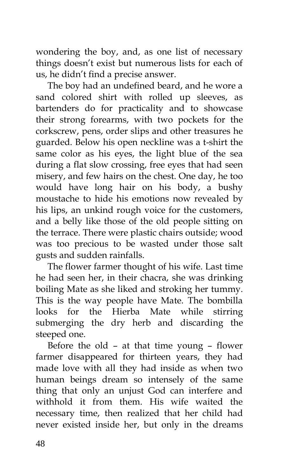wondering the boy, and, as one list of necessary things doesn't exist but numerous lists for each of us, he didn't find a precise answer.

The boy had an undefined beard, and he wore a sand colored shirt with rolled up sleeves, as bartenders do for practicality and to showcase their strong forearms, with two pockets for the corkscrew, pens, order slips and other treasures he guarded. Below his open neckline was a t-shirt the same color as his eyes, the light blue of the sea during a flat slow crossing, free eyes that had seen misery, and few hairs on the chest. One day, he too would have long hair on his body, a bushy moustache to hide his emotions now revealed by his lips, an unkind rough voice for the customers, and a belly like those of the old people sitting on the terrace. There were plastic chairs outside; wood was too precious to be wasted under those salt gusts and sudden rainfalls.

The flower farmer thought of his wife. Last time he had seen her, in their chacra, she was drinking boiling Mate as she liked and stroking her tummy. This is the way people have Mate. The bombilla looks for the Hierba Mate while stirring submerging the dry herb and discarding the steeped one.

Before the old – at that time young – flower farmer disappeared for thirteen years, they had made love with all they had inside as when two human beings dream so intensely of the same thing that only an unjust God can interfere and withhold it from them. His wife waited the necessary time, then realized that her child had never existed inside her, but only in the dreams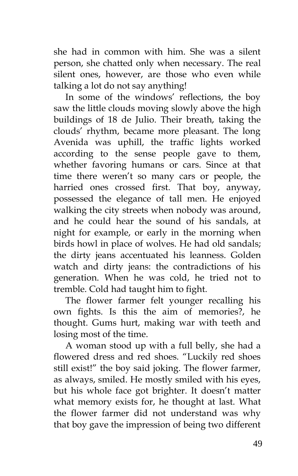she had in common with him. She was a silent person, she chatted only when necessary. The real silent ones, however, are those who even while talking a lot do not say anything!

In some of the windows' reflections, the boy saw the little clouds moving slowly above the high buildings of 18 de Julio. Their breath, taking the clouds' rhythm, became more pleasant. The long Avenida was uphill, the traffic lights worked according to the sense people gave to them, whether favoring humans or cars. Since at that time there weren't so many cars or people, the harried ones crossed first. That boy, anyway, possessed the elegance of tall men. He enjoyed walking the city streets when nobody was around, and he could hear the sound of his sandals, at night for example, or early in the morning when birds howl in place of wolves. He had old sandals; the dirty jeans accentuated his leanness. Golden watch and dirty jeans: the contradictions of his generation. When he was cold, he tried not to tremble. Cold had taught him to fight.

The flower farmer felt younger recalling his own fights. Is this the aim of memories?, he thought. Gums hurt, making war with teeth and losing most of the time.

A woman stood up with a full belly, she had a flowered dress and red shoes. "Luckily red shoes still exist!" the boy said joking. The flower farmer, as always, smiled. He mostly smiled with his eyes, but his whole face got brighter. It doesn't matter what memory exists for, he thought at last. What the flower farmer did not understand was why that boy gave the impression of being two different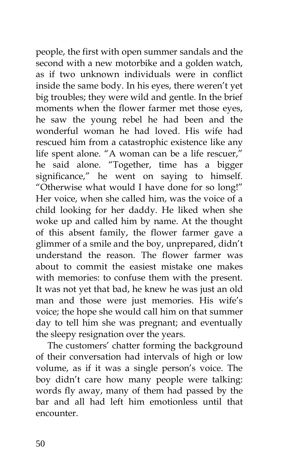people, the first with open summer sandals and the second with a new motorbike and a golden watch, as if two unknown individuals were in conflict inside the same body. In his eyes, there weren't yet big troubles; they were wild and gentle. In the brief moments when the flower farmer met those eyes, he saw the young rebel he had been and the wonderful woman he had loved. His wife had rescued him from a catastrophic existence like any life spent alone. "A woman can be a life rescuer," he said alone. "Together, time has a bigger significance," he went on saying to himself. "Otherwise what would I have done for so long!" Her voice, when she called him, was the voice of a child looking for her daddy. He liked when she woke up and called him by name. At the thought of this absent family, the flower farmer gave a glimmer of a smile and the boy, unprepared, didn't understand the reason. The flower farmer was about to commit the easiest mistake one makes with memories: to confuse them with the present. It was not yet that bad, he knew he was just an old man and those were just memories. His wife's voice; the hope she would call him on that summer day to tell him she was pregnant; and eventually the sleepy resignation over the years.

The customers' chatter forming the background of their conversation had intervals of high or low volume, as if it was a single person's voice. The boy didn't care how many people were talking: words fly away, many of them had passed by the bar and all had left him emotionless until that encounter.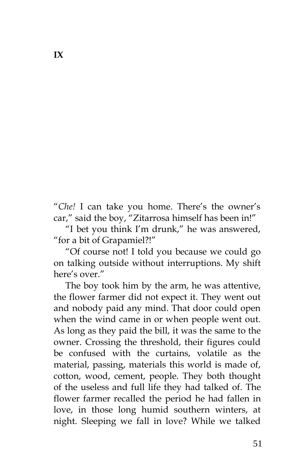"*Che!* I can take you home. There's the owner's car," said the boy, "Zitarrosa himself has been in!"

"I bet you think I'm drunk," he was answered, "for a bit of Grapamiel?!"

"Of course not! I told you because we could go on talking outside without interruptions. My shift here's over."

The boy took him by the arm, he was attentive, the flower farmer did not expect it. They went out and nobody paid any mind. That door could open when the wind came in or when people went out. As long as they paid the bill, it was the same to the owner. Crossing the threshold, their figures could be confused with the curtains, volatile as the material, passing, materials this world is made of, cotton, wood, cement, people. They both thought of the useless and full life they had talked of. The flower farmer recalled the period he had fallen in love, in those long humid southern winters, at night. Sleeping we fall in love? While we talked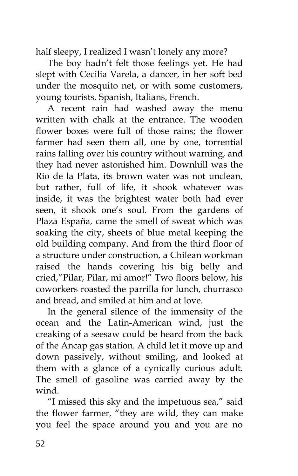half sleepy, I realized I wasn't lonely any more?

The boy hadn't felt those feelings yet. He had slept with Cecilia Varela, a dancer, in her soft bed under the mosquito net, or with some customers, young tourists, Spanish, Italians, French.

A recent rain had washed away the menu written with chalk at the entrance. The wooden flower boxes were full of those rains; the flower farmer had seen them all, one by one, torrential rains falling over his country without warning, and they had never astonished him. Downhill was the Rio de la Plata, its brown water was not unclean, but rather, full of life, it shook whatever was inside, it was the brightest water both had ever seen, it shook one's soul. From the gardens of Plaza España, came the smell of sweat which was soaking the city, sheets of blue metal keeping the old building company. And from the third floor of a structure under construction, a Chilean workman raised the hands covering his big belly and cried,"Pilar, Pilar, mi amor!" Two floors below, his coworkers roasted the parrilla for lunch, churrasco and bread, and smiled at him and at love.

In the general silence of the immensity of the ocean and the Latin-American wind, just the creaking of a seesaw could be heard from the back of the Ancap gas station. A child let it move up and down passively, without smiling, and looked at them with a glance of a cynically curious adult. The smell of gasoline was carried away by the wind.

"I missed this sky and the impetuous sea," said the flower farmer, "they are wild, they can make you feel the space around you and you are no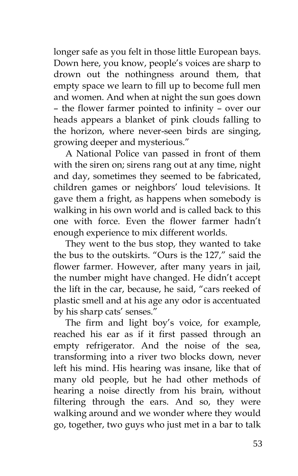longer safe as you felt in those little European bays. Down here, you know, people's voices are sharp to drown out the nothingness around them, that empty space we learn to fill up to become full men and women. And when at night the sun goes down – the flower farmer pointed to infinity – over our heads appears a blanket of pink clouds falling to the horizon, where never-seen birds are singing, growing deeper and mysterious."

A National Police van passed in front of them with the siren on; sirens rang out at any time, night and day, sometimes they seemed to be fabricated, children games or neighbors' loud televisions. It gave them a fright, as happens when somebody is walking in his own world and is called back to this one with force. Even the flower farmer hadn't enough experience to mix different worlds.

They went to the bus stop, they wanted to take the bus to the outskirts. "Ours is the 127," said the flower farmer. However, after many years in jail, the number might have changed. He didn't accept the lift in the car, because, he said, "cars reeked of plastic smell and at his age any odor is accentuated by his sharp cats' senses."

The firm and light boy's voice, for example, reached his ear as if it first passed through an empty refrigerator. And the noise of the sea, transforming into a river two blocks down, never left his mind. His hearing was insane, like that of many old people, but he had other methods of hearing a noise directly from his brain, without filtering through the ears. And so, they were walking around and we wonder where they would go, together, two guys who just met in a bar to talk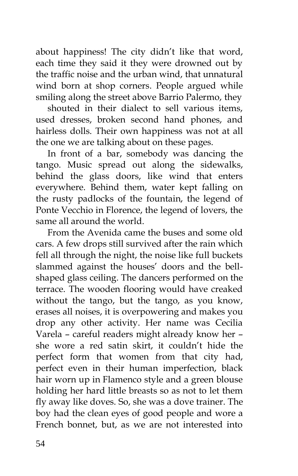about happiness! The city didn't like that word, each time they said it they were drowned out by the traffic noise and the urban wind, that unnatural wind born at shop corners. People argued while smiling along the street above Barrio Palermo, they

shouted in their dialect to sell various items, used dresses, broken second hand phones, and hairless dolls. Their own happiness was not at all the one we are talking about on these pages.

In front of a bar, somebody was dancing the tango. Music spread out along the sidewalks, behind the glass doors, like wind that enters everywhere. Behind them, water kept falling on the rusty padlocks of the fountain, the legend of Ponte Vecchio in Florence, the legend of lovers, the same all around the world.

From the Avenida came the buses and some old cars. A few drops still survived after the rain which fell all through the night, the noise like full buckets slammed against the houses' doors and the bellshaped glass ceiling. The dancers performed on the terrace. The wooden flooring would have creaked without the tango, but the tango, as you know, erases all noises, it is overpowering and makes you drop any other activity. Her name was Cecilia Varela – careful readers might already know her – she wore a red satin skirt, it couldn't hide the perfect form that women from that city had, perfect even in their human imperfection, black hair worn up in Flamenco style and a green blouse holding her hard little breasts so as not to let them fly away like doves. So, she was a dove trainer. The boy had the clean eyes of good people and wore a French bonnet, but, as we are not interested into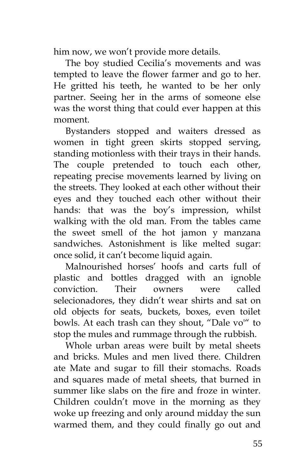him now, we won't provide more details.

The boy studied Cecilia's movements and was tempted to leave the flower farmer and go to her. He gritted his teeth, he wanted to be her only partner. Seeing her in the arms of someone else was the worst thing that could ever happen at this moment.

Bystanders stopped and waiters dressed as women in tight green skirts stopped serving, standing motionless with their trays in their hands. The couple pretended to touch each other, repeating precise movements learned by living on the streets. They looked at each other without their eyes and they touched each other without their hands: that was the boy's impression, whilst walking with the old man. From the tables came the sweet smell of the hot jamon y manzana sandwiches. Astonishment is like melted sugar: once solid, it can't become liquid again.

Malnourished horses' hoofs and carts full of plastic and bottles dragged with an ignoble conviction. Their owners were called selecionadores, they didn't wear shirts and sat on old objects for seats, buckets, boxes, even toilet bowls. At each trash can they shout, "Dale vo'" to stop the mules and rummage through the rubbish.

Whole urban areas were built by metal sheets and bricks. Mules and men lived there. Children ate Mate and sugar to fill their stomachs. Roads and squares made of metal sheets, that burned in summer like slabs on the fire and froze in winter. Children couldn't move in the morning as they woke up freezing and only around midday the sun warmed them, and they could finally go out and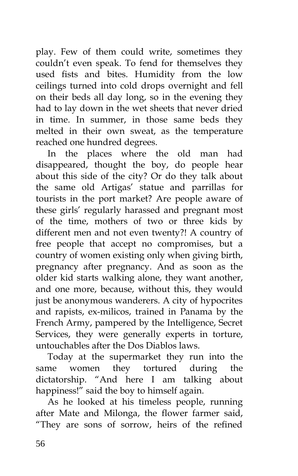play. Few of them could write, sometimes they couldn't even speak. To fend for themselves they used fists and bites. Humidity from the low ceilings turned into cold drops overnight and fell on their beds all day long, so in the evening they had to lay down in the wet sheets that never dried in time. In summer, in those same beds they melted in their own sweat, as the temperature reached one hundred degrees.

In the places where the old man had disappeared, thought the boy, do people hear about this side of the city? Or do they talk about the same old Artigas' statue and parrillas for tourists in the port market? Are people aware of these girls' regularly harassed and pregnant most of the time, mothers of two or three kids by different men and not even twenty?! A country of free people that accept no compromises, but a country of women existing only when giving birth, pregnancy after pregnancy. And as soon as the older kid starts walking alone, they want another, and one more, because, without this, they would just be anonymous wanderers. A city of hypocrites and rapists, ex-milicos, trained in Panama by the French Army, pampered by the Intelligence, Secret Services, they were generally experts in torture, untouchables after the Dos Diablos laws.

Today at the supermarket they run into the same women they tortured during the dictatorship. "And here I am talking about happiness!" said the boy to himself again.

As he looked at his timeless people, running after Mate and Milonga, the flower farmer said, "They are sons of sorrow, heirs of the refined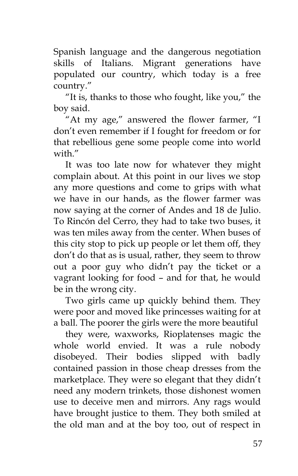Spanish language and the dangerous negotiation skills of Italians. Migrant generations have populated our country, which today is a free country."

"It is, thanks to those who fought, like you," the boy said.

"At my age," answered the flower farmer, "I don't even remember if I fought for freedom or for that rebellious gene some people come into world with"

It was too late now for whatever they might complain about. At this point in our lives we stop any more questions and come to grips with what we have in our hands, as the flower farmer was now saying at the corner of Andes and 18 de Julio. To Rincón del Cerro, they had to take two buses, it was ten miles away from the center. When buses of this city stop to pick up people or let them off, they don't do that as is usual, rather, they seem to throw out a poor guy who didn't pay the ticket or a vagrant looking for food – and for that, he would be in the wrong city.

Two girls came up quickly behind them. They were poor and moved like princesses waiting for at a ball. The poorer the girls were the more beautiful

they were, waxworks, Rioplatenses magic the whole world envied. It was a rule nobody disobeyed. Their bodies slipped with badly contained passion in those cheap dresses from the marketplace. They were so elegant that they didn't need any modern trinkets, those dishonest women use to deceive men and mirrors. Any rags would have brought justice to them. They both smiled at the old man and at the boy too, out of respect in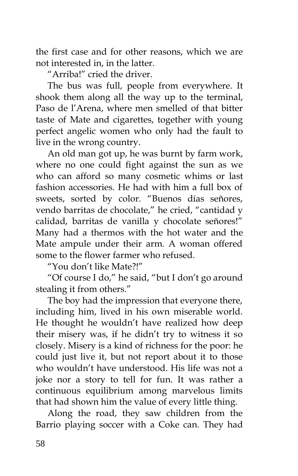the first case and for other reasons, which we are not interested in, in the latter.

"Arriba!" cried the driver.

The bus was full, people from everywhere. It shook them along all the way up to the terminal, Paso de l'Arena, where men smelled of that bitter taste of Mate and cigarettes, together with young perfect angelic women who only had the fault to live in the wrong country.

An old man got up, he was burnt by farm work, where no one could fight against the sun as we who can afford so many cosmetic whims or last fashion accessories. He had with him a full box of sweets, sorted by color. "Buenos días señores, vendo barritas de chocolate," he cried, "cantidad y calidad, barritas de vanilla y chocolate señores!" Many had a thermos with the hot water and the Mate ampule under their arm. A woman offered some to the flower farmer who refused.

"You don't like Mate?!"

"Of course I do," he said, "but I don't go around stealing it from others."

The boy had the impression that everyone there, including him, lived in his own miserable world. He thought he wouldn't have realized how deep their misery was, if he didn't try to witness it so closely. Misery is a kind of richness for the poor: he could just live it, but not report about it to those who wouldn't have understood. His life was not a joke nor a story to tell for fun. It was rather a continuous equilibrium among marvelous limits that had shown him the value of every little thing.

Along the road, they saw children from the Barrio playing soccer with a Coke can. They had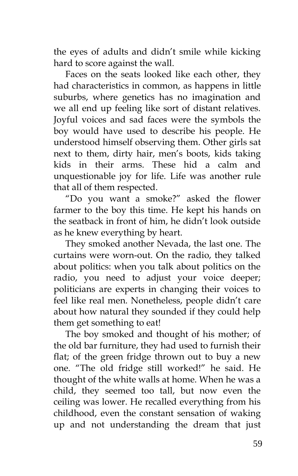the eyes of adults and didn't smile while kicking hard to score against the wall.

Faces on the seats looked like each other, they had characteristics in common, as happens in little suburbs, where genetics has no imagination and we all end up feeling like sort of distant relatives. Joyful voices and sad faces were the symbols the boy would have used to describe his people. He understood himself observing them. Other girls sat next to them, dirty hair, men's boots, kids taking kids in their arms. These hid a calm and unquestionable joy for life. Life was another rule that all of them respected.

"Do you want a smoke?" asked the flower farmer to the boy this time. He kept his hands on the seatback in front of him, he didn't look outside as he knew everything by heart.

They smoked another Nevada, the last one. The curtains were worn-out. On the radio, they talked about politics: when you talk about politics on the radio, you need to adjust your voice deeper; politicians are experts in changing their voices to feel like real men. Nonetheless, people didn't care about how natural they sounded if they could help them get something to eat!

The boy smoked and thought of his mother; of the old bar furniture, they had used to furnish their flat; of the green fridge thrown out to buy a new one. "The old fridge still worked!" he said. He thought of the white walls at home. When he was a child, they seemed too tall, but now even the ceiling was lower. He recalled everything from his childhood, even the constant sensation of waking up and not understanding the dream that just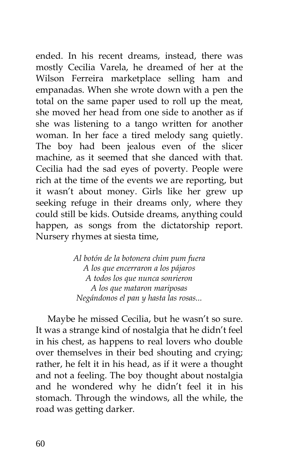ended. In his recent dreams, instead, there was mostly Cecilia Varela, he dreamed of her at the Wilson Ferreira marketplace selling ham and empanadas. When she wrote down with a pen the total on the same paper used to roll up the meat, she moved her head from one side to another as if she was listening to a tango written for another woman. In her face a tired melody sang quietly. The boy had been jealous even of the slicer machine, as it seemed that she danced with that. Cecilia had the sad eyes of poverty. People were rich at the time of the events we are reporting, but it wasn't about money. Girls like her grew up seeking refuge in their dreams only, where they could still be kids. Outside dreams, anything could happen, as songs from the dictatorship report. Nursery rhymes at siesta time,

> *Al botón de la botonera chim pum fuera A los que encerraron a los pájaros A todos los que nunca sonrieron A los que mataron mariposas Negándonos el pan y hasta las rosas...*

Maybe he missed Cecilia, but he wasn't so sure. It was a strange kind of nostalgia that he didn't feel in his chest, as happens to real lovers who double over themselves in their bed shouting and crying; rather, he felt it in his head, as if it were a thought and not a feeling. The boy thought about nostalgia and he wondered why he didn't feel it in his stomach. Through the windows, all the while, the road was getting darker.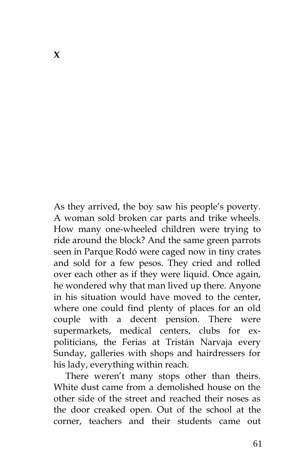As they arrived, the boy saw his people's poverty. A woman sold broken car parts and trike wheels. How many one-wheeled children were trying to ride around the block? And the same green parrots seen in Parque Rodó were caged now in tiny crates and sold for a few pesos. They cried and rolled over each other as if they were liquid. Once again, he wondered why that man lived up there. Anyone in his situation would have moved to the center, where one could find plenty of places for an old couple with a decent pension. There were supermarkets, medical centers, clubs for expoliticians, the Ferias at Tristán Narvaja every Sunday, galleries with shops and hairdressers for his lady, everything within reach.

There weren't many stops other than theirs. White dust came from a demolished house on the other side of the street and reached their noses as the door creaked open. Out of the school at the corner, teachers and their students came out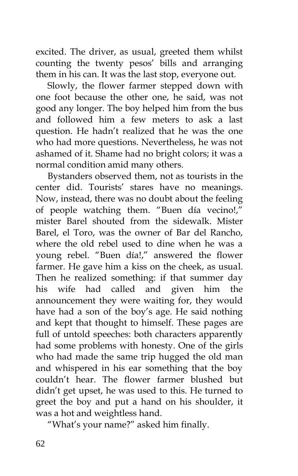excited. The driver, as usual, greeted them whilst counting the twenty pesos' bills and arranging them in his can. It was the last stop, everyone out.

Slowly, the flower farmer stepped down with one foot because the other one, he said, was not good any longer. The boy helped him from the bus and followed him a few meters to ask a last question. He hadn't realized that he was the one who had more questions. Nevertheless, he was not ashamed of it. Shame had no bright colors; it was a normal condition amid many others.

Bystanders observed them, not as tourists in the center did. Tourists' stares have no meanings. Now, instead, there was no doubt about the feeling of people watching them. "Buen día vecino!," mister Barel shouted from the sidewalk. Mister Barel, el Toro, was the owner of Bar del Rancho, where the old rebel used to dine when he was a young rebel. "Buen día!," answered the flower farmer. He gave him a kiss on the cheek, as usual. Then he realized something: if that summer day his wife had called and given him the announcement they were waiting for, they would have had a son of the boy's age. He said nothing and kept that thought to himself. These pages are full of untold speeches: both characters apparently had some problems with honesty. One of the girls who had made the same trip hugged the old man and whispered in his ear something that the boy couldn't hear. The flower farmer blushed but didn't get upset, he was used to this. He turned to greet the boy and put a hand on his shoulder, it was a hot and weightless hand.

"What's your name?" asked him finally.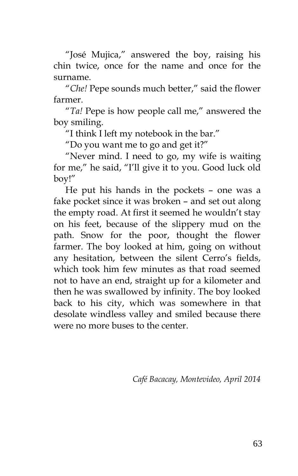"José Mujica," answered the boy, raising his chin twice, once for the name and once for the surname.

"*Che!* Pepe sounds much better," said the flower farmer.

"*Ta!* Pepe is how people call me," answered the boy smiling.

"I think I left my notebook in the bar."

"Do you want me to go and get it?"

"Never mind. I need to go, my wife is waiting for me," he said, "I'll give it to you. Good luck old boy!"

He put his hands in the pockets – one was a fake pocket since it was broken – and set out along the empty road. At first it seemed he wouldn't stay on his feet, because of the slippery mud on the path. Snow for the poor, thought the flower farmer. The boy looked at him, going on without any hesitation, between the silent Cerro's fields, which took him few minutes as that road seemed not to have an end, straight up for a kilometer and then he was swallowed by infinity. The boy looked back to his city, which was somewhere in that desolate windless valley and smiled because there were no more buses to the center.

*Café Bacacay, Montevideo, April 2014*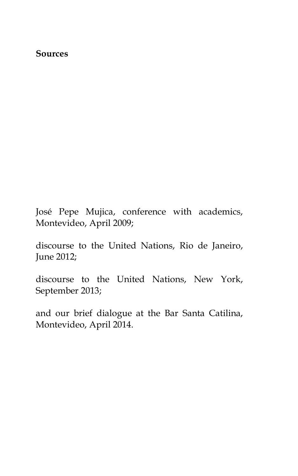## **Sources**

José Pepe Mujica, conference with academics, Montevideo, April 2009;

discourse to the United Nations, Rio de Janeiro, June 2012;

discourse to the United Nations, New York, September 2013;

and our brief dialogue at the Bar Santa Catilina, Montevideo, April 2014.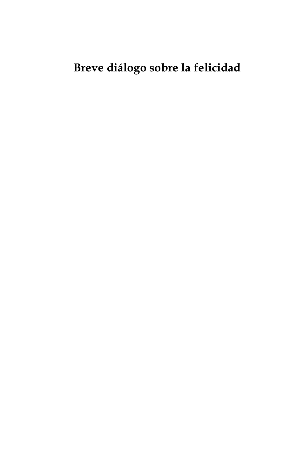## **Breve diálogo sobre la felicidad**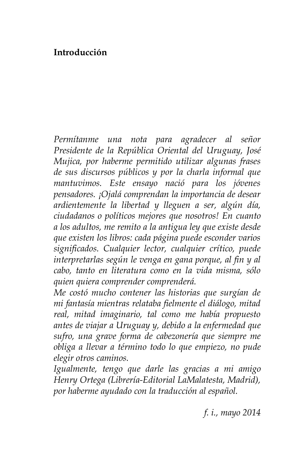## **Introducción**

*Permítanme una nota para agradecer al señor Presidente de la República Oriental del Uruguay, José Mujica, por haberme permitido utilizar algunas frases de sus discursos públicos y por la charla informal que mantuvimos. Este ensayo nació para los jóvenes pensadores. ¡Ojalá comprendan la importancia de desear ardientemente la libertad y lleguen a ser, algún día, ciudadanos o políticos mejores que nosotros! En cuanto a los adultos, me remito a la antigua ley que existe desde que existen los libros: cada página puede esconder varios significados. Cualquier lector, cualquier crítico, puede interpretarlas según le venga en gana porque, al fin y al cabo, tanto en literatura como en la vida misma, sólo quien quiera comprender comprenderá.*

*Me costó mucho contener las historias que surgían de mi fantasía mientras relataba fielmente el diálogo, mitad real, mitad imaginario, tal como me había propuesto antes de viajar a Uruguay y, debido a la enfermedad que sufro, una grave forma de cabezonería que siempre me obliga a llevar a término todo lo que empiezo, no pude elegir otros caminos.*

*Igualmente, tengo que darle las gracias a mi amigo Henry Ortega (Librería-Editorial LaMalatesta, Madrid), por haberme ayudado con la traducción al español.*

*f. i., mayo 2014*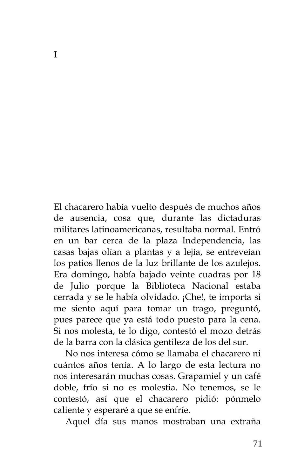El chacarero había vuelto después de muchos años de ausencia, cosa que, durante las dictaduras militares latinoamericanas, resultaba normal. Entró en un bar cerca de la plaza Independencia, las casas bajas olían a plantas y a lejía, se entreveían los patios llenos de la luz brillante de los azulejos. Era domingo, había bajado veinte cuadras por 18 de Julio porque la Biblioteca Nacional estaba cerrada y se le había olvidado. ¡Che!, te importa si me siento aquí para tomar un trago, preguntó, pues parece que ya está todo puesto para la cena. Si nos molesta, te lo digo, contestó el mozo detrás de la barra con la clásica gentileza de los del sur.

No nos interesa cómo se llamaba el chacarero ni cuántos años tenía. A lo largo de esta lectura no nos interesarán muchas cosas. Grapamiel y un café doble, frío si no es molestia. No tenemos, se le contestó, así que el chacarero pidió: pónmelo caliente y esperaré a que se enfríe.

Aquel día sus manos mostraban una extraña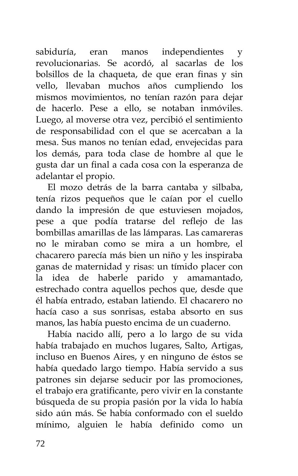sabiduría, eran manos independientes y revolucionarias. Se acordó, al sacarlas de los bolsillos de la chaqueta, de que eran finas y sin vello, llevaban muchos años cumpliendo los mismos movimientos, no tenían razón para dejar de hacerlo. Pese a ello, se notaban inmóviles. Luego, al moverse otra vez, percibió el sentimiento de responsabilidad con el que se acercaban a la mesa. Sus manos no tenían edad, envejecidas para los demás, para toda clase de hombre al que le gusta dar un final a cada cosa con la esperanza de adelantar el propio.

El mozo detrás de la barra cantaba y silbaba, tenía rizos pequeños que le caían por el cuello dando la impresión de que estuviesen mojados, pese a que podía tratarse del reflejo de las bombillas amarillas de las lámparas. Las camareras no le miraban como se mira a un hombre, el chacarero parecía más bien un niño y les inspiraba ganas de maternidad y risas: un tímido placer con la idea de haberle parido y amamantado, estrechado contra aquellos pechos que, desde que él había entrado, estaban latiendo. El chacarero no hacía caso a sus sonrisas, estaba absorto en sus manos, las había puesto encima de un cuaderno.

Había nacido allí, pero a lo largo de su vida había trabajado en muchos lugares, Salto, Artigas, incluso en Buenos Aires, y en ninguno de éstos se había quedado largo tiempo. Había servido a sus patrones sin dejarse seducir por las promociones, el trabajo era gratificante, pero vivir en la constante búsqueda de su propia pasión por la vida lo había sido aún más. Se había conformado con el sueldo mínimo, alguien le había definido como un

72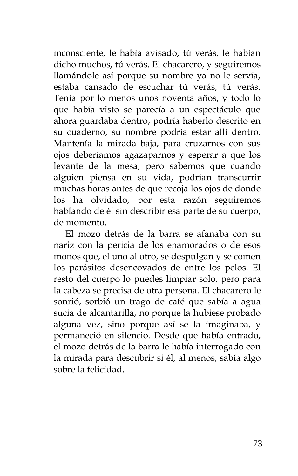inconsciente, le había avisado, tú verás, le habían dicho muchos, tú verás. El chacarero, y seguiremos llamándole así porque su nombre ya no le servía, estaba cansado de escuchar tú verás, tú verás. Tenía por lo menos unos noventa años, y todo lo que había visto se parecía a un espectáculo que ahora guardaba dentro, podría haberlo descrito en su cuaderno, su nombre podría estar allí dentro. Mantenía la mirada baja, para cruzarnos con sus ojos deberíamos agazaparnos y esperar a que los levante de la mesa, pero sabemos que cuando alguien piensa en su vida, podrían transcurrir muchas horas antes de que recoja los ojos de donde los ha olvidado, por esta razón seguiremos hablando de él sin describir esa parte de su cuerpo, de momento.

El mozo detrás de la barra se afanaba con su nariz con la pericia de los enamorados o de esos monos que, el uno al otro, se despulgan y se comen los parásitos desencovados de entre los pelos. El resto del cuerpo lo puedes limpiar solo, pero para la cabeza se precisa de otra persona. El chacarero le sonrió, sorbió un trago de café que sabía a agua sucia de alcantarilla, no porque la hubiese probado alguna vez, sino porque así se la imaginaba, y permaneció en silencio. Desde que había entrado, el mozo detrás de la barra le había interrogado con la mirada para descubrir si él, al menos, sabía algo sobre la felicidad.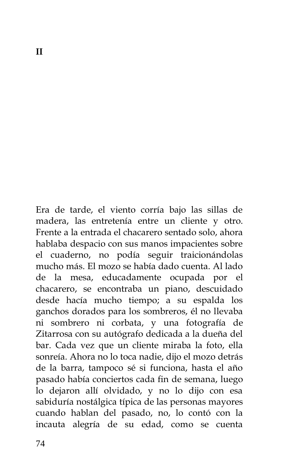Era de tarde, el viento corría bajo las sillas de madera, las entretenía entre un cliente y otro. Frente a la entrada el chacarero sentado solo, ahora hablaba despacio con sus manos impacientes sobre el cuaderno, no podía seguir traicionándolas mucho más. El mozo se había dado cuenta. Al lado de la mesa, educadamente ocupada por el chacarero, se encontraba un piano, descuidado desde hacía mucho tiempo; a su espalda los ganchos dorados para los sombreros, él no llevaba ni sombrero ni corbata, y una fotografía de Zitarrosa con su autógrafo dedicada a la dueña del bar. Cada vez que un cliente miraba la foto, ella sonreía. Ahora no lo toca nadie, dijo el mozo detrás de la barra, tampoco sé si funciona, hasta el año pasado había conciertos cada fin de semana, luego lo dejaron allí olvidado, y no lo dijo con esa sabiduría nostálgica típica de las personas mayores cuando hablan del pasado, no, lo contó con la incauta alegría de su edad, como se cuenta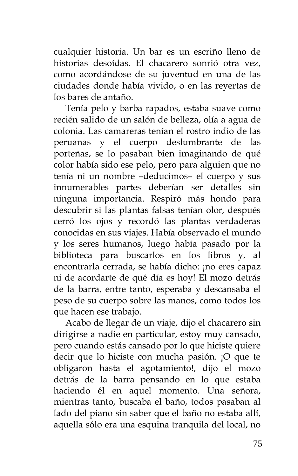cualquier historia. Un bar es un escriño lleno de historias desoídas. El chacarero sonrió otra vez, como acordándose de su juventud en una de las ciudades donde había vivido, o en las reyertas de los bares de antaño.

Tenía pelo y barba rapados, estaba suave como recién salido de un salón de belleza, olía a agua de colonia. Las camareras tenían el rostro indio de las peruanas y el cuerpo deslumbrante de las porteñas, se lo pasaban bien imaginando de qué color había sido ese pelo, pero para alguien que no tenía ni un nombre –deducimos– el cuerpo y sus innumerables partes deberían ser detalles sin ninguna importancia. Respiró más hondo para descubrir si las plantas falsas tenían olor, después cerró los ojos y recordó las plantas verdaderas conocidas en sus viajes. Había observado el mundo y los seres humanos, luego había pasado por la biblioteca para buscarlos en los libros y, al encontrarla cerrada, se había dicho: ¡no eres capaz ni de acordarte de qué día es hoy! El mozo detrás de la barra, entre tanto, esperaba y descansaba el peso de su cuerpo sobre las manos, como todos los que hacen ese trabajo.

Acabo de llegar de un viaje, dijo el chacarero sin dirigirse a nadie en particular, estoy muy cansado, pero cuando estás cansado por lo que hiciste quiere decir que lo hiciste con mucha pasión. ¡O que te obligaron hasta el agotamiento!, dijo el mozo detrás de la barra pensando en lo que estaba haciendo él en aquel momento. Una señora, mientras tanto, buscaba el baño, todos pasaban al lado del piano sin saber que el baño no estaba allí, aquella sólo era una esquina tranquila del local, no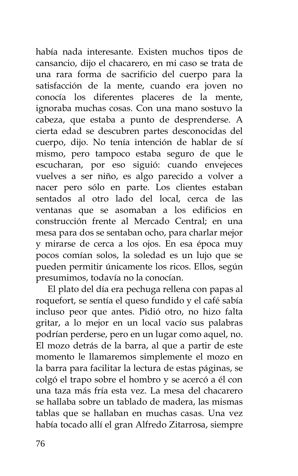había nada interesante. Existen muchos tipos de cansancio, dijo el chacarero, en mi caso se trata de una rara forma de sacrificio del cuerpo para la satisfacción de la mente, cuando era joven no conocía los diferentes placeres de la mente, ignoraba muchas cosas. Con una mano sostuvo la cabeza, que estaba a punto de desprenderse. A cierta edad se descubren partes desconocidas del cuerpo, dijo. No tenía intención de hablar de sí mismo, pero tampoco estaba seguro de que le escucharan, por eso siguió: cuando envejeces vuelves a ser niño, es algo parecido a volver a nacer pero sólo en parte. Los clientes estaban sentados al otro lado del local, cerca de las ventanas que se asomaban a los edificios en construcción frente al Mercado Central; en una mesa para dos se sentaban ocho, para charlar mejor y mirarse de cerca a los ojos. En esa época muy pocos comían solos, la soledad es un lujo que se pueden permitir únicamente los ricos. Ellos, según presumimos, todavía no la conocían.

El plato del día era pechuga rellena con papas al roquefort, se sentía el queso fundido y el café sabía incluso peor que antes. Pidió otro, no hizo falta gritar, a lo mejor en un local vacío sus palabras podrían perderse, pero en un lugar como aquel, no. El mozo detrás de la barra, al que a partir de este momento le llamaremos simplemente el mozo en la barra para facilitar la lectura de estas páginas, se colgó el trapo sobre el hombro y se acercó a él con una taza más fría esta vez. La mesa del chacarero se hallaba sobre un tablado de madera, las mismas tablas que se hallaban en muchas casas. Una vez había tocado allí el gran Alfredo Zitarrosa, siempre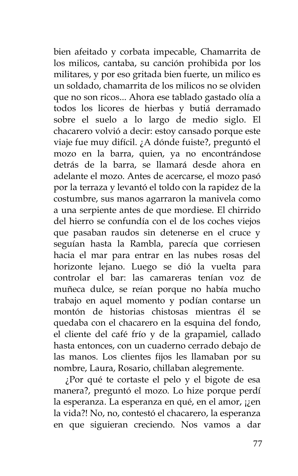bien afeitado y corbata impecable, Chamarrita de los milicos, cantaba, su canción prohibida por los militares, y por eso gritada bien fuerte, un milico es un soldado, chamarrita de los milicos no se olviden que no son ricos... Ahora ese tablado gastado olía a todos los licores de hierbas y butiá derramado sobre el suelo a lo largo de medio siglo. El chacarero volvió a decir: estoy cansado porque este viaje fue muy difícil. ¿A dónde fuiste?, preguntó el mozo en la barra, quien, ya no encontrándose detrás de la barra, se llamará desde ahora en adelante el mozo. Antes de acercarse, el mozo pasó por la terraza y levantó el toldo con la rapidez de la costumbre, sus manos agarraron la manivela como a una serpiente antes de que mordiese. El chirrido del hierro se confundía con el de los coches viejos que pasaban raudos sin detenerse en el cruce y seguían hasta la Rambla, parecía que corriesen hacia el mar para entrar en las nubes rosas del horizonte lejano. Luego se dió la vuelta para controlar el bar: las camareras tenían voz de muñeca dulce, se reían porque no había mucho trabajo en aquel momento y podían contarse un montón de historias chistosas mientras él se quedaba con el chacarero en la esquina del fondo, el cliente del café frío y de la grapamiel, callado hasta entonces, con un cuaderno cerrado debajo de las manos. Los clientes fijos les llamaban por su nombre, Laura, Rosario, chillaban alegremente.

¿Por qué te cortaste el pelo y el bigote de esa manera?, preguntó el mozo. Lo hize porque perdí la esperanza. La esperanza en qué, en el amor, ¡¿en la vida?! No, no, contestó el chacarero, la esperanza en que siguieran creciendo. Nos vamos a dar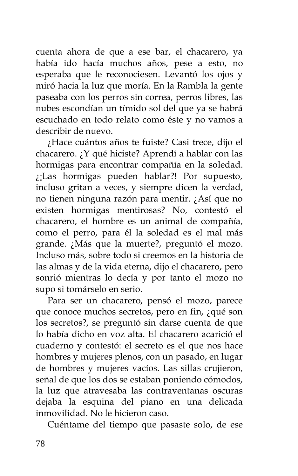cuenta ahora de que a ese bar, el chacarero, ya había ido hacía muchos años, pese a esto, no esperaba que le reconociesen. Levantó los ojos y miró hacia la luz que moría. En la Rambla la gente paseaba con los perros sin correa, perros libres, las nubes escondían un tímido sol del que ya se habrá escuchado en todo relato como éste y no vamos a describir de nuevo.

¿Hace cuántos años te fuiste? Casi trece, dijo el chacarero. ¿Y qué hiciste? Aprendí a hablar con las hormigas para encontrar compañía en la soledad. ¿¡Las hormigas pueden hablar?! Por supuesto, incluso gritan a veces, y siempre dicen la verdad, no tienen ninguna razón para mentir. ¿Así que no existen hormigas mentirosas? No, contestó el chacarero, el hombre es un animal de compañía, como el perro, para él la soledad es el mal más grande. ¿Más que la muerte?, preguntó el mozo. Incluso más, sobre todo si creemos en la historia de las almas y de la vida eterna, dijo el chacarero, pero sonrió mientras lo decía y por tanto el mozo no supo si tomárselo en serio.

Para ser un chacarero, pensó el mozo, parece que conoce muchos secretos, pero en fin, ¿qué son los secretos?, se preguntó sin darse cuenta de que lo había dicho en voz alta. El chacarero acarició el cuaderno y contestó: el secreto es el que nos hace hombres y mujeres plenos, con un pasado, en lugar de hombres y mujeres vacíos. Las sillas crujieron, señal de que los dos se estaban poniendo cómodos, la luz que atravesaba las contraventanas oscuras dejaba la esquina del piano en una delicada inmovilidad. No le hicieron caso.

Cuéntame del tiempo que pasaste solo, de ese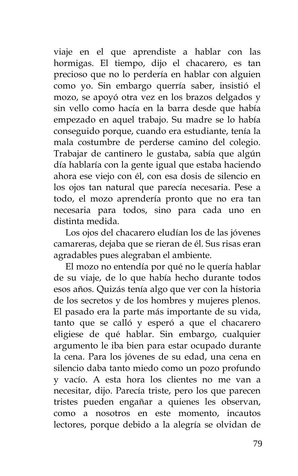viaje en el que aprendiste a hablar con las hormigas. El tiempo, dijo el chacarero, es tan precioso que no lo perdería en hablar con alguien como yo. Sin embargo querría saber, insistió el mozo, se apoyó otra vez en los brazos delgados y sin vello como hacía en la barra desde que había empezado en aquel trabajo. Su madre se lo había conseguido porque, cuando era estudiante, tenía la mala costumbre de perderse camino del colegio. Trabajar de cantinero le gustaba, sabía que algún día hablaría con la gente igual que estaba haciendo ahora ese viejo con él, con esa dosis de silencio en los ojos tan natural que parecía necesaria. Pese a todo, el mozo aprendería pronto que no era tan necesaria para todos, sino para cada uno en distinta medida.

Los ojos del chacarero eludían los de las jóvenes camareras, dejaba que se rieran de él. Sus risas eran agradables pues alegraban el ambiente.

El mozo no entendía por qué no le quería hablar de su viaje, de lo que había hecho durante todos esos años. Quizás tenía algo que ver con la historia de los secretos y de los hombres y mujeres plenos. El pasado era la parte más importante de su vida, tanto que se calló y esperó a que el chacarero eligiese de qué hablar. Sin embargo, cualquier argumento le iba bien para estar ocupado durante la cena. Para los jóvenes de su edad, una cena en silencio daba tanto miedo como un pozo profundo y vacío. A esta hora los clientes no me van a necesitar, dijo. Parecía triste, pero los que parecen tristes pueden engañar a quienes les observan, como a nosotros en este momento, incautos lectores, porque debido a la alegría se olvidan de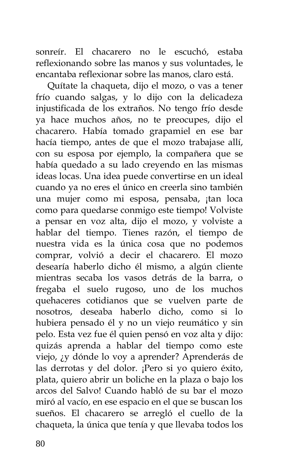sonreír. El chacarero no le escuchó, estaba reflexionando sobre las manos y sus voluntades, le encantaba reflexionar sobre las manos, claro está.

Quítate la chaqueta, dijo el mozo, o vas a tener frío cuando salgas, y lo dijo con la delicadeza injustificada de los extraños. No tengo frío desde ya hace muchos años, no te preocupes, dijo el chacarero. Había tomado grapamiel en ese bar hacía tiempo, antes de que el mozo trabajase allí, con su esposa por ejemplo, la compañera que se había quedado a su lado creyendo en las mismas ideas locas. Una idea puede convertirse en un ideal cuando ya no eres el único en creerla sino también una mujer como mi esposa, pensaba, ¡tan loca como para quedarse conmigo este tiempo! Volviste a pensar en voz alta, dijo el mozo, y volviste a hablar del tiempo. Tienes razón, el tiempo de nuestra vida es la única cosa que no podemos comprar, volvió a decir el chacarero. El mozo desearía haberlo dicho él mismo, a algún cliente mientras secaba los vasos detrás de la barra, o fregaba el suelo rugoso, uno de los muchos quehaceres cotidianos que se vuelven parte de nosotros, deseaba haberlo dicho, como si lo hubiera pensado él y no un viejo reumático y sin pelo. Esta vez fue él quien pensó en voz alta y dijo: quizás aprenda a hablar del tiempo como este viejo, ¿y dónde lo voy a aprender? Aprenderás de las derrotas y del dolor. ¡Pero si yo quiero éxito, plata, quiero abrir un boliche en la plaza o bajo los arcos del Salvo! Cuando habló de su bar el mozo miró al vacío, en ese espacio en el que se buscan los sueños. El chacarero se arregló el cuello de la chaqueta, la única que tenía y que llevaba todos los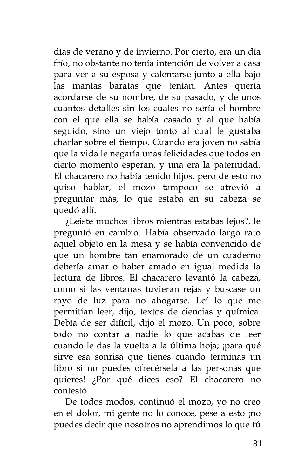días de verano y de invierno. Por cierto, era un día frío, no obstante no tenía intención de volver a casa para ver a su esposa y calentarse junto a ella bajo las mantas baratas que tenían. Antes quería acordarse de su nombre, de su pasado, y de unos cuantos detalles sin los cuales no sería el hombre con el que ella se había casado y al que había seguido, sino un viejo tonto al cual le gustaba charlar sobre el tiempo. Cuando era joven no sabía que la vida le negaría unas felicidades que todos en cierto momento esperan, y una era la paternidad. El chacarero no había tenido hijos, pero de esto no quiso hablar, el mozo tampoco se atrevió a preguntar más, lo que estaba en su cabeza se quedó allí.

¿Leiste muchos libros mientras estabas lejos?, le preguntó en cambio. Había observado largo rato aquel objeto en la mesa y se había convencido de que un hombre tan enamorado de un cuaderno debería amar o haber amado en igual medida la lectura de libros. El chacarero levantó la cabeza, como si las ventanas tuvieran rejas y buscase un rayo de luz para no ahogarse. Leí lo que me permitían leer, dijo, textos de ciencias y química. Debía de ser difícil, dijo el mozo. Un poco, sobre todo no contar a nadie lo que acabas de leer cuando le das la vuelta a la última hoja; ¡para qué sirve esa sonrisa que tienes cuando terminas un libro si no puedes ofrecérsela a las personas que quieres! ¿Por qué dices eso? El chacarero no contestó.

De todos modos, continuó el mozo, yo no creo en el dolor, mi gente no lo conoce, pese a esto ¡no puedes decir que nosotros no aprendimos lo que tú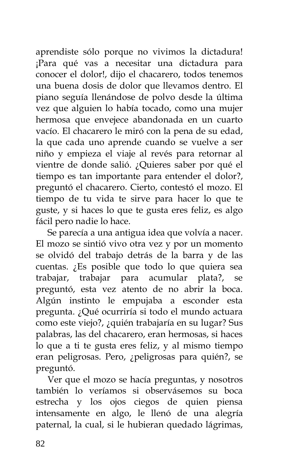aprendiste sólo porque no vivimos la dictadura! ¡Para qué vas a necesitar una dictadura para conocer el dolor!, dijo el chacarero, todos tenemos una buena dosis de dolor que llevamos dentro. El piano seguía llenándose de polvo desde la última vez que alguien lo había tocado, como una mujer hermosa que envejece abandonada en un cuarto vacío. El chacarero le miró con la pena de su edad, la que cada uno aprende cuando se vuelve a ser niño y empieza el viaje al revés para retornar al vientre de donde salió. ¿Quieres saber por qué el tiempo es tan importante para entender el dolor?, preguntó el chacarero. Cierto, contestó el mozo. El tiempo de tu vida te sirve para hacer lo que te guste, y si haces lo que te gusta eres feliz, es algo fácil pero nadie lo hace.

Se parecía a una antigua idea que volvía a nacer. El mozo se sintió vivo otra vez y por un momento se olvidó del trabajo detrás de la barra y de las cuentas. ¿Es posible que todo lo que quiera sea trabajar, trabajar para acumular plata?, se preguntó, esta vez atento de no abrir la boca. Algún instinto le empujaba a esconder esta pregunta. ¿Qué ocurriría si todo el mundo actuara como este viejo?, ¿quién trabajaría en su lugar? Sus palabras, las del chacarero, eran hermosas, si haces lo que a ti te gusta eres feliz, y al mismo tiempo eran peligrosas. Pero, ¿peligrosas para quién?, se preguntó.

Ver que el mozo se hacía preguntas, y nosotros también lo veríamos si observásemos su boca estrecha y los ojos ciegos de quien piensa intensamente en algo, le llenó de una alegría paternal, la cual, si le hubieran quedado lágrimas,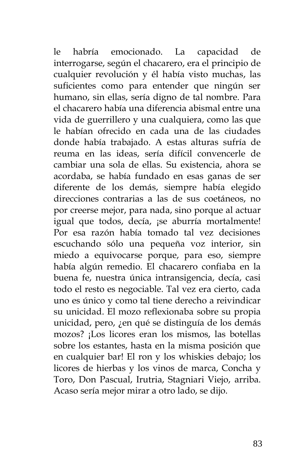le habría emocionado. La capacidad de interrogarse, según el chacarero, era el principio de cualquier revolución y él había visto muchas, las suficientes como para entender que ningún ser humano, sin ellas, sería digno de tal nombre. Para el chacarero había una diferencia abismal entre una vida de guerrillero y una cualquiera, como las que le habían ofrecido en cada una de las ciudades donde había trabajado. A estas alturas sufría de reuma en las ideas, sería difícil convencerle de cambiar una sola de ellas. Su existencia, ahora se acordaba, se había fundado en esas ganas de ser diferente de los demás, siempre había elegido direcciones contrarias a las de sus coetáneos, no por creerse mejor, para nada, sino porque al actuar igual que todos, decía, ¡se aburría mortalmente! Por esa razón había tomado tal vez decisiones escuchando sólo una pequeña voz interior, sin miedo a equivocarse porque, para eso, siempre había algún remedio. El chacarero confiaba en la buena fe, nuestra única intransigencia, decía, casi todo el resto es negociable. Tal vez era cierto, cada uno es único y como tal tiene derecho a reivindicar su unicidad. El mozo reflexionaba sobre su propia unicidad, pero, ¿en qué se distinguía de los demás mozos? ¡Los licores eran los mismos, las botellas sobre los estantes, hasta en la misma posición que en cualquier bar! El ron y los whiskies debajo; los licores de hierbas y los vinos de marca, Concha y Toro, Don Pascual, Irutria, Stagniari Viejo, arriba. Acaso sería mejor mirar a otro lado, se dijo.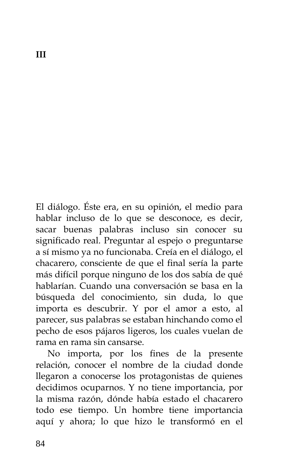El diálogo. Éste era, en su opinión, el medio para hablar incluso de lo que se desconoce, es decir, sacar buenas palabras incluso sin conocer su significado real. Preguntar al espejo o preguntarse a sí mismo ya no funcionaba. Creía en el diálogo, el chacarero, consciente de que el final sería la parte más difícil porque ninguno de los dos sabía de qué hablarían. Cuando una conversación se basa en la búsqueda del conocimiento, sin duda, lo que importa es descubrir. Y por el amor a esto, al parecer, sus palabras se estaban hinchando como el pecho de esos pájaros ligeros, los cuales vuelan de rama en rama sin cansarse.

No importa, por los fines de la presente relación, conocer el nombre de la ciudad donde llegaron a conocerse los protagonistas de quienes decidimos ocuparnos. Y no tiene importancia, por la misma razón, dónde había estado el chacarero todo ese tiempo. Un hombre tiene importancia aquí y ahora; lo que hizo le transformó en el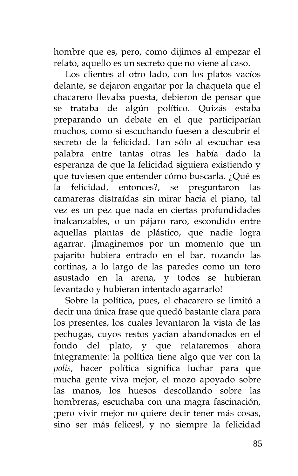hombre que es, pero, como dijimos al empezar el relato, aquello es un secreto que no viene al caso.

Los clientes al otro lado, con los platos vacíos delante, se dejaron engañar por la chaqueta que el chacarero llevaba puesta, debieron de pensar que se trataba de algún político. Quizás estaba preparando un debate en el que participarían muchos, como si escuchando fuesen a descubrir el secreto de la felicidad. Tan sólo al escuchar esa palabra entre tantas otras les había dado la esperanza de que la felicidad siguiera existiendo y que tuviesen que entender cómo buscarla. ¿Qué es la felicidad, entonces?, se preguntaron las camareras distraídas sin mirar hacia el piano, tal vez es un pez que nada en ciertas profundidades inalcanzables, o un pájaro raro, escondido entre aquellas plantas de plástico, que nadie logra agarrar. ¡Imaginemos por un momento que un pajarito hubiera entrado en el bar, rozando las cortinas, a lo largo de las paredes como un toro asustado en la arena, y todos se hubieran levantado y hubieran intentado agarrarlo!

Sobre la política, pues, el chacarero se limitó a decir una única frase que quedó bastante clara para los presentes, los cuales levantaron la vista de las pechugas, cuyos restos yacían abandonados en el fondo del plato, y que relataremos ahora íntegramente: la política tiene algo que ver con la *polis*, hacer política significa luchar para que mucha gente viva mejor, el mozo apoyado sobre las manos, los huesos descollando sobre las hombreras, escuchaba con una magra fascinación, ¡pero vivir mejor no quiere decir tener más cosas, sino ser más felices!, y no siempre la felicidad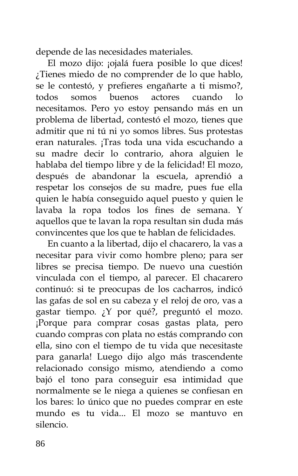depende de las necesidades materiales.

El mozo dijo: ¡ojalá fuera posible lo que dices! ¿Tienes miedo de no comprender de lo que hablo, se le contestó, y prefieres engañarte a ti mismo?, todos somos buenos actores cuando necesitamos. Pero yo estoy pensando más en un problema de libertad, contestó el mozo, tienes que admitir que ni tú ni yo somos libres. Sus protestas eran naturales. ¡Tras toda una vida escuchando a su madre decir lo contrario, ahora alguien le hablaba del tiempo libre y de la felicidad! El mozo, después de abandonar la escuela, aprendió a respetar los consejos de su madre, pues fue ella quien le había conseguido aquel puesto y quien le lavaba la ropa todos los fines de semana. Y aquellos que te lavan la ropa resultan sin duda más convincentes que los que te hablan de felicidades.

En cuanto a la libertad, dijo el chacarero, la vas a necesitar para vivir como hombre pleno; para ser libres se precisa tiempo. De nuevo una cuestión vinculada con el tiempo, al parecer. El chacarero continuó: si te preocupas de los cacharros, indicó las gafas de sol en su cabeza y el reloj de oro, vas a gastar tiempo. ¿Y por qué?, preguntó el mozo. ¡Porque para comprar cosas gastas plata, pero cuando compras con plata no estás comprando con ella, sino con el tiempo de tu vida que necesitaste para ganarla! Luego dijo algo más trascendente relacionado consigo mismo, atendiendo a como bajó el tono para conseguir esa intimidad que normalmente se le niega a quienes se confiesan en los bares: lo único que no puedes comprar en este mundo es tu vida... El mozo se mantuvo en silencio.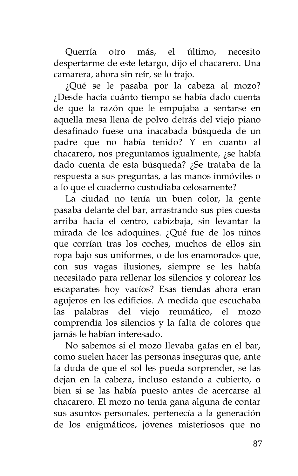Querría otro más, el último, necesito despertarme de este letargo, dijo el chacarero. Una camarera, ahora sin reír, se lo trajo.

¿Qué se le pasaba por la cabeza al mozo? ¿Desde hacía cuánto tiempo se había dado cuenta de que la razón que le empujaba a sentarse en aquella mesa llena de polvo detrás del viejo piano desafinado fuese una inacabada búsqueda de un padre que no había tenido? Y en cuanto al chacarero, nos preguntamos igualmente, ¿se había dado cuenta de esta búsqueda? ¿Se trataba de la respuesta a sus preguntas, a las manos inmóviles o a lo que el cuaderno custodiaba celosamente?

La ciudad no tenía un buen color, la gente pasaba delante del bar, arrastrando sus pies cuesta arriba hacia el centro, cabizbaja, sin levantar la mirada de los adoquines. ¿Qué fue de los niños que corrían tras los coches, muchos de ellos sin ropa bajo sus uniformes, o de los enamorados que, con sus vagas ilusiones, siempre se les había necesitado para rellenar los silencios y colorear los escaparates hoy vacíos? Esas tiendas ahora eran agujeros en los edificios. A medida que escuchaba las palabras del viejo reumático, el mozo comprendía los silencios y la falta de colores que jamás le habían interesado.

No sabemos si el mozo llevaba gafas en el bar, como suelen hacer las personas inseguras que, ante la duda de que el sol les pueda sorprender, se las dejan en la cabeza, incluso estando a cubierto, o bien si se las había puesto antes de acercarse al chacarero. El mozo no tenía gana alguna de contar sus asuntos personales, pertenecía a la generación de los enigmáticos, jóvenes misteriosos que no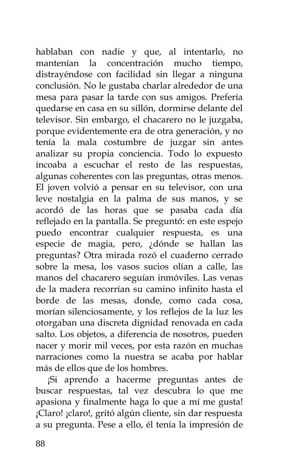hablaban con nadie y que, al intentarlo, no mantenían la concentración mucho tiempo, distrayéndose con facilidad sin llegar a ninguna conclusión. No le gustaba charlar alrededor de una mesa para pasar la tarde con sus amigos. Prefería quedarse en casa en su sillón, dormirse delante del televisor. Sin embargo, el chacarero no le juzgaba, porque evidentemente era de otra generación, y no tenía la mala costumbre de juzgar sin antes analizar su propia conciencia. Todo lo expuesto incoaba a escuchar el resto de las respuestas, algunas coherentes con las preguntas, otras menos. El joven volvió a pensar en su televisor, con una leve nostalgia en la palma de sus manos, y se acordó de las horas que se pasaba cada día reflejado en la pantalla. Se preguntó: en este espejo puedo encontrar cualquier respuesta, es una especie de magia, pero, ¿dónde se hallan las preguntas? Otra mirada rozó el cuaderno cerrado sobre la mesa, los vasos sucios olían a calle, las manos del chacarero seguían inmóviles. Las venas de la madera recorrían su camino infinito hasta el borde de las mesas, donde, como cada cosa, morían silenciosamente, y los reflejos de la luz les otorgaban una discreta dignidad renovada en cada salto. Los objetos, a diferencia de nosotros, pueden nacer y morir mil veces, por esta razón en muchas narraciones como la nuestra se acaba por hablar más de ellos que de los hombres.

¡Si aprendo a hacerme preguntas antes de buscar respuestas, tal vez descubra lo que me apasiona y finalmente haga lo que a mí me gusta! ¡Claro! ¡claro!, gritó algún cliente, sin dar respuesta a su pregunta. Pese a ello, él tenía la impresión de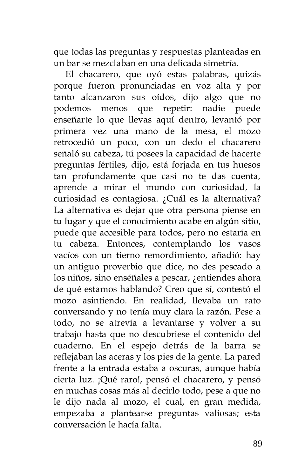que todas las preguntas y respuestas planteadas en un bar se mezclaban en una delicada simetría.

El chacarero, que oyó estas palabras, quizás porque fueron pronunciadas en voz alta y por tanto alcanzaron sus oídos, dijo algo que no podemos menos que repetir: nadie puede enseñarte lo que llevas aquí dentro, levantó por primera vez una mano de la mesa, el mozo retrocedió un poco, con un dedo el chacarero señaló su cabeza, tú posees la capacidad de hacerte preguntas fértiles, dijo, está forjada en tus huesos tan profundamente que casi no te das cuenta, aprende a mirar el mundo con curiosidad, la curiosidad es contagiosa. ¿Cuál es la alternativa? La alternativa es dejar que otra persona piense en tu lugar y que el conocimiento acabe en algún sitio, puede que accesible para todos, pero no estaría en tu cabeza. Entonces, contemplando los vasos vacíos con un tierno remordimiento, añadió: hay un antiguo proverbio que dice, no des pescado a los niños, sino enséñales a pescar, ¿entiendes ahora de qué estamos hablando? Creo que sí, contestó el mozo asintiendo. En realidad, llevaba un rato conversando y no tenía muy clara la razón. Pese a todo, no se atrevía a levantarse y volver a su trabajo hasta que no descubriese el contenido del cuaderno. En el espejo detrás de la barra se reflejaban las aceras y los pies de la gente. La pared frente a la entrada estaba a oscuras, aunque había cierta luz. ¡Qué raro!, pensó el chacarero, y pensó en muchas cosas más al decirlo todo, pese a que no le dijo nada al mozo, el cual, en gran medida, empezaba a plantearse preguntas valiosas; esta conversación le hacía falta.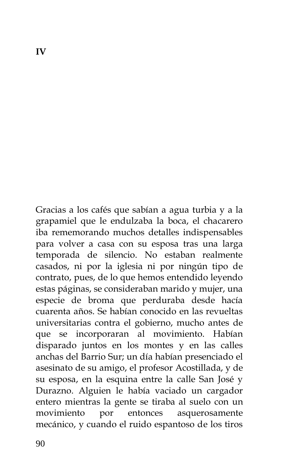Gracias a los cafés que sabían a agua turbia y a la grapamiel que le endulzaba la boca, el chacarero iba rememorando muchos detalles indispensables para volver a casa con su esposa tras una larga temporada de silencio. No estaban realmente casados, ni por la iglesia ni por ningún tipo de contrato, pues, de lo que hemos entendido leyendo estas páginas, se consideraban marido y mujer, una especie de broma que perduraba desde hacía cuarenta años. Se habían conocido en las revueltas universitarias contra el gobierno, mucho antes de que se incorporaran al movimiento. Habían disparado juntos en los montes y en las calles anchas del Barrio Sur; un día habían presenciado el asesinato de su amigo, el profesor Acostillada, y de su esposa, en la esquina entre la calle San José y Durazno. Alguien le había vaciado un cargador entero mientras la gente se tiraba al suelo con un movimiento por entonces asquerosamente mecánico, y cuando el ruido espantoso de los tiros

**IV**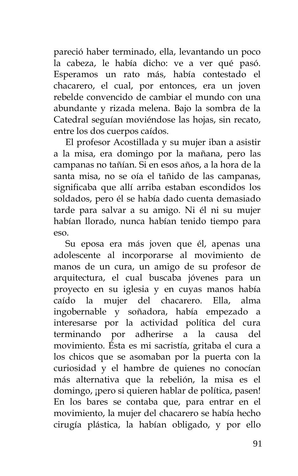pareció haber terminado, ella, levantando un poco la cabeza, le había dicho: ve a ver qué pasó. Esperamos un rato más, había contestado el chacarero, el cual, por entonces, era un joven rebelde convencido de cambiar el mundo con una abundante y rizada melena. Bajo la sombra de la Catedral seguían moviéndose las hojas, sin recato, entre los dos cuerpos caídos.

El profesor Acostillada y su mujer iban a asistir a la misa, era domingo por la mañana, pero las campanas no tañían. Si en esos años, a la hora de la santa misa, no se oía el tañido de las campanas, significaba que allí arriba estaban escondidos los soldados, pero él se había dado cuenta demasiado tarde para salvar a su amigo. Ni él ni su mujer habían llorado, nunca habían tenido tiempo para eso.

Su eposa era más joven que él, apenas una adolescente al incorporarse al movimiento de manos de un cura, un amigo de su profesor de arquitectura, el cual buscaba jóvenes para un proyecto en su iglesia y en cuyas manos había caído la mujer del chacarero. Ella, alma ingobernable y soñadora, había empezado a interesarse por la actividad política del cura terminando por adherirse a la causa del movimiento. Ésta es mi sacristía, gritaba el cura a los chicos que se asomaban por la puerta con la curiosidad y el hambre de quienes no conocían más alternativa que la rebelión, la misa es el domingo, ¡pero si quieren hablar de política, pasen! En los bares se contaba que, para entrar en el movimiento, la mujer del chacarero se había hecho cirugía plástica, la habían obligado, y por ello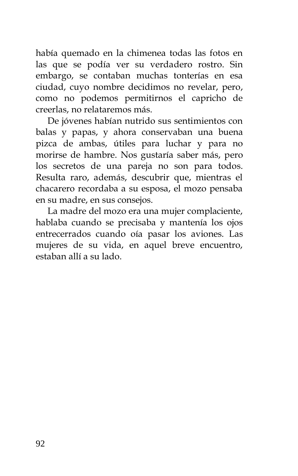había quemado en la chimenea todas las fotos en las que se podía ver su verdadero rostro. Sin embargo, se contaban muchas tonterías en esa ciudad, cuyo nombre decidimos no revelar, pero, como no podemos permitirnos el capricho de creerlas, no relataremos más.

De jóvenes habían nutrido sus sentimientos con balas y papas, y ahora conservaban una buena pizca de ambas, útiles para luchar y para no morirse de hambre. Nos gustaría saber más, pero los secretos de una pareja no son para todos. Resulta raro, además, descubrir que, mientras el chacarero recordaba a su esposa, el mozo pensaba en su madre, en sus consejos.

La madre del mozo era una mujer complaciente, hablaba cuando se precisaba y mantenía los ojos entrecerrados cuando oía pasar los aviones. Las mujeres de su vida, en aquel breve encuentro, estaban allí a su lado.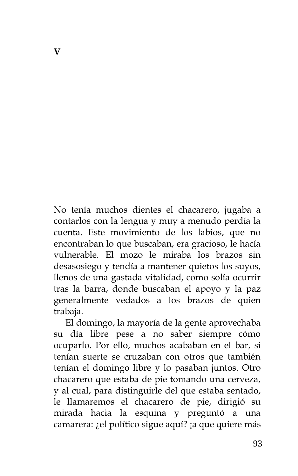No tenía muchos dientes el chacarero, jugaba a contarlos con la lengua y muy a menudo perdía la cuenta. Este movimiento de los labios, que no encontraban lo que buscaban, era gracioso, le hacía vulnerable. El mozo le miraba los brazos sin desasosiego y tendía a mantener quietos los suyos, llenos de una gastada vitalidad, como solía ocurrir tras la barra, donde buscaban el apoyo y la paz generalmente vedados a los brazos de quien trabaja.

El domingo, la mayoría de la gente aprovechaba su día libre pese a no saber siempre cómo ocuparlo. Por ello, muchos acababan en el bar, si tenían suerte se cruzaban con otros que también tenían el domingo libre y lo pasaban juntos. Otro chacarero que estaba de pie tomando una cerveza, y al cual, para distinguirle del que estaba sentado, le llamaremos el chacarero de pie, dirigió su mirada hacia la esquina y preguntó a una camarera: ¿el político sigue aquí? ¡a que quiere más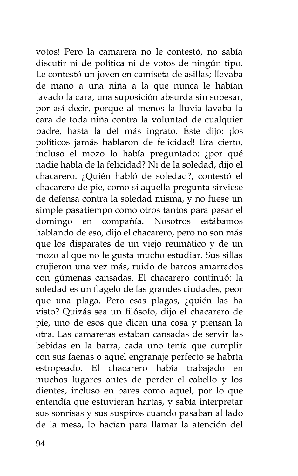votos! Pero la camarera no le contestó, no sabía discutir ni de política ni de votos de ningún tipo. Le contestó un joven en camiseta de asillas; llevaba de mano a una niña a la que nunca le habían lavado la cara, una suposición absurda sin sopesar, por así decir, porque al menos la lluvia lavaba la cara de toda niña contra la voluntad de cualquier padre, hasta la del más ingrato. Éste dijo: ¡los políticos jamás hablaron de felicidad! Era cierto, incluso el mozo lo había preguntado: ¿por qué nadie habla de la felicidad? Ni de la soledad, dijo el chacarero. ¿Quién habló de soledad?, contestó el chacarero de pie, como si aquella pregunta sirviese de defensa contra la soledad misma, y no fuese un simple pasatiempo como otros tantos para pasar el domingo en compañía. Nosotros estábamos hablando de eso, dijo el chacarero, pero no son más que los disparates de un viejo reumático y de un mozo al que no le gusta mucho estudiar. Sus sillas crujieron una vez más, ruido de barcos amarrados con gúmenas cansadas. El chacarero continuó: la soledad es un flagelo de las grandes ciudades, peor que una plaga. Pero esas plagas, ¿quién las ha visto? Quizás sea un filósofo, dijo el chacarero de pie, uno de esos que dicen una cosa y piensan la otra. Las camareras estaban cansadas de servir las bebidas en la barra, cada uno tenía que cumplir con sus faenas o aquel engranaje perfecto se habría estropeado. El chacarero había trabajado en muchos lugares antes de perder el cabello y los dientes, incluso en bares como aquel, por lo que entendía que estuvieran hartas, y sabía interpretar sus sonrisas y sus suspiros cuando pasaban al lado de la mesa, lo hacían para llamar la atención del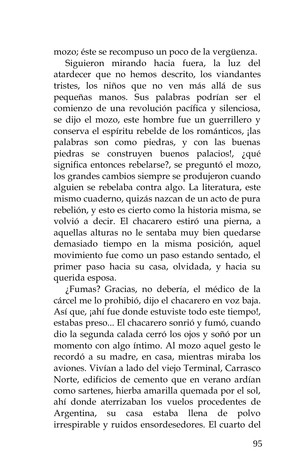mozo; éste se recompuso un poco de la vergüenza.

Siguieron mirando hacia fuera, la luz del atardecer que no hemos descrito, los viandantes tristes, los niños que no ven más allá de sus pequeñas manos. Sus palabras podrían ser el comienzo de una revolución pacífica y silenciosa, se dijo el mozo, este hombre fue un guerrillero y conserva el espíritu rebelde de los románticos, ¡las palabras son como piedras, y con las buenas piedras se construyen buenos palacios!, ¿qué significa entonces rebelarse?, se preguntó el mozo, los grandes cambios siempre se produjeron cuando alguien se rebelaba contra algo. La literatura, este mismo cuaderno, quizás nazcan de un acto de pura rebelión, y esto es cierto como la historia misma, se volvió a decir. El chacarero estiró una pierna, a aquellas alturas no le sentaba muy bien quedarse demasiado tiempo en la misma posición, aquel movimiento fue como un paso estando sentado, el primer paso hacia su casa, olvidada, y hacia su querida esposa.

¿Fumas? Gracias, no debería, el médico de la cárcel me lo prohibió, dijo el chacarero en voz baja. Así que, ¡ahí fue donde estuviste todo este tiempo!, estabas preso... El chacarero sonrió y fumó, cuando dio la segunda calada cerró los ojos y soñó por un momento con algo íntimo. Al mozo aquel gesto le recordó a su madre, en casa, mientras miraba los aviones. Vivían a lado del viejo Terminal, Carrasco Norte, edificios de cemento que en verano ardían como sartenes, hierba amarilla quemada por el sol, ahí donde aterrizaban los vuelos procedentes de Argentina, su casa estaba llena de polvo irrespirable y ruidos ensordesedores. El cuarto del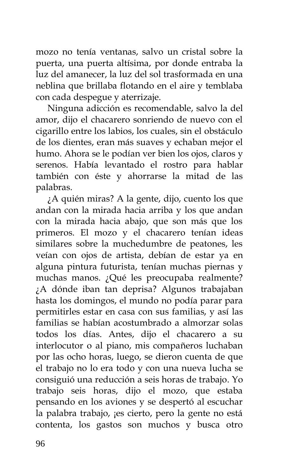mozo no tenía ventanas, salvo un cristal sobre la puerta, una puerta altísima, por donde entraba la luz del amanecer, la luz del sol trasformada en una neblina que brillaba flotando en el aire y temblaba con cada despegue y aterrizaje.

Ninguna adicción es recomendable, salvo la del amor, dijo el chacarero sonriendo de nuevo con el cigarillo entre los labios, los cuales, sin el obstáculo de los dientes, eran más suaves y echaban mejor el humo. Ahora se le podían ver bien los ojos, claros y serenos. Había levantado el rostro para hablar también con éste y ahorrarse la mitad de las palabras.

¿A quién miras? A la gente, dijo, cuento los que andan con la mirada hacia arriba y los que andan con la mirada hacia abajo, que son más que los primeros. El mozo y el chacarero tenían ideas similares sobre la muchedumbre de peatones, les veían con ojos de artista, debían de estar ya en alguna pintura futurista, tenían muchas piernas y muchas manos. ¿Qué les preocupaba realmente? ¿A dónde iban tan deprisa? Algunos trabajaban hasta los domingos, el mundo no podía parar para permitirles estar en casa con sus familias, y así las familias se habían acostumbrado a almorzar solas todos los días. Antes, dijo el chacarero a su interlocutor o al piano, mis compañeros luchaban por las ocho horas, luego, se dieron cuenta de que el trabajo no lo era todo y con una nueva lucha se consiguió una reducción a seis horas de trabajo. Yo trabajo seis horas, dijo el mozo, que estaba pensando en los aviones y se despertó al escuchar la palabra trabajo, ¡es cierto, pero la gente no está contenta, los gastos son muchos y busca otro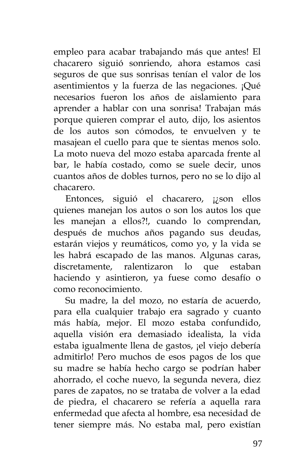empleo para acabar trabajando más que antes! El chacarero siguió sonriendo, ahora estamos casi seguros de que sus sonrisas tenían el valor de los asentimientos y la fuerza de las negaciones. ¡Qué necesarios fueron los años de aislamiento para aprender a hablar con una sonrisa! Trabajan más porque quieren comprar el auto, dijo, los asientos de los autos son cómodos, te envuelven y te masajean el cuello para que te sientas menos solo. La moto nueva del mozo estaba aparcada frente al bar, le había costado, como se suele decir, unos cuantos años de dobles turnos, pero no se lo dijo al chacarero.

Entonces, siguió el chacarero, ¡¿son ellos quienes manejan los autos o son los autos los que les manejan a ellos?!, cuando lo comprendan, después de muchos años pagando sus deudas, estarán viejos y reumáticos, como yo, y la vida se les habrá escapado de las manos. Algunas caras, discretamente, ralentizaron lo que estaban haciendo y asintieron, ya fuese como desafío o como reconocimiento.

Su madre, la del mozo, no estaría de acuerdo, para ella cualquier trabajo era sagrado y cuanto más había, mejor. El mozo estaba confundido, aquella visión era demasiado idealista, la vida estaba igualmente llena de gastos, ¡el viejo debería admitirlo! Pero muchos de esos pagos de los que su madre se había hecho cargo se podrían haber ahorrado, el coche nuevo, la segunda nevera, diez pares de zapatos, no se trataba de volver a la edad de piedra, el chacarero se refería a aquella rara enfermedad que afecta al hombre, esa necesidad de tener siempre más. No estaba mal, pero existían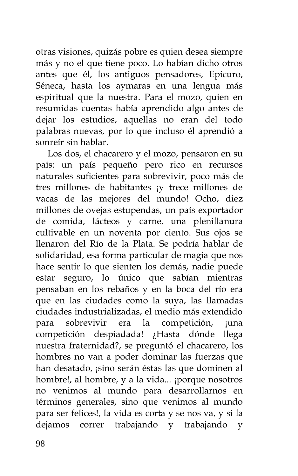otras visiones, quizás pobre es quien desea siempre más y no el que tiene poco. Lo habían dicho otros antes que él, los antiguos pensadores, Epicuro, Séneca, hasta los aymaras en una lengua más espiritual que la nuestra. Para el mozo, quien en resumidas cuentas había aprendido algo antes de dejar los estudios, aquellas no eran del todo palabras nuevas, por lo que incluso él aprendió a sonreír sin hablar.

Los dos, el chacarero y el mozo, pensaron en su país: un país pequeño pero rico en recursos naturales suficientes para sobrevivir, poco más de tres millones de habitantes ¡y trece millones de vacas de las mejores del mundo! Ocho, diez millones de ovejas estupendas, un país exportador de comida, lácteos y carne, una plenillanura cultivable en un noventa por ciento. Sus ojos se llenaron del Río de la Plata. Se podría hablar de solidaridad, esa forma particular de magia que nos hace sentir lo que sienten los demás, nadie puede estar seguro, lo único que sabían mientras pensaban en los rebaños y en la boca del río era que en las ciudades como la suya, las llamadas ciudades industrializadas, el medio más extendido para sobrevivir era la competición, ¡una competición despiadada! ¿Hasta dónde llega nuestra fraternidad?, se preguntó el chacarero, los hombres no van a poder dominar las fuerzas que han desatado, ¡sino serán éstas las que dominen al hombre!, al hombre, y a la vida... ¡porque nosotros no venimos al mundo para desarrollarnos en términos generales, sino que venimos al mundo para ser felices!, la vida es corta y se nos va, y si la dejamos correr trabajando y trabajando y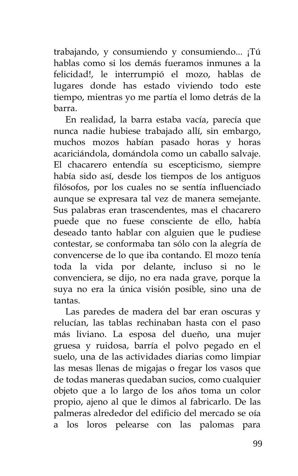trabajando, y consumiendo y consumiendo... ¡Tú hablas como si los demás fueramos inmunes a la felicidad!, le interrumpió el mozo, hablas de lugares donde has estado viviendo todo este tiempo, mientras yo me partía el lomo detrás de la barra.

En realidad, la barra estaba vacía, parecía que nunca nadie hubiese trabajado allí, sin embargo, muchos mozos habían pasado horas y horas acariciándola, domándola como un caballo salvaje. El chacarero entendía su escepticismo, siempre había sido así, desde los tiempos de los antiguos filósofos, por los cuales no se sentía influenciado aunque se expresara tal vez de manera semejante. Sus palabras eran trascendentes, mas el chacarero puede que no fuese consciente de ello, había deseado tanto hablar con alguien que le pudiese contestar, se conformaba tan sólo con la alegría de convencerse de lo que iba contando. El mozo tenía toda la vida por delante, incluso si no le convenciera, se dijo, no era nada grave, porque la suya no era la única visión posible, sino una de tantas.

Las paredes de madera del bar eran oscuras y relucían, las tablas rechinaban hasta con el paso más liviano. La esposa del dueño, una mujer gruesa y ruidosa, barría el polvo pegado en el suelo, una de las actividades diarias como limpiar las mesas llenas de migajas o fregar los vasos que de todas maneras quedaban sucios, como cualquier objeto que a lo largo de los años toma un color propio, ajeno al que le dimos al fabricarlo. De las palmeras alrededor del edificio del mercado se oía a los loros pelearse con las palomas para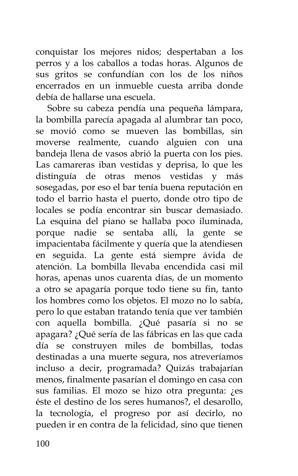conquistar los mejores nidos; despertaban a los perros y a los caballos a todas horas. Algunos de sus gritos se confundían con los de los niños encerrados en un inmueble cuesta arriba donde debía de hallarse una escuela.

Sobre su cabeza pendía una pequeña lámpara, la bombilla parecía apagada al alumbrar tan poco, se movió como se mueven las bombillas, sin moverse realmente, cuando alguien con una bandeja llena de vasos abrió la puerta con los pies. Las camareras iban vestidas y deprisa, lo que les distinguía de otras menos vestidas y más sosegadas, por eso el bar tenía buena reputación en todo el barrio hasta el puerto, donde otro tipo de locales se podía encontrar sin buscar demasiado. La esquina del piano se hallaba poco iluminada, porque nadie se sentaba allí, la gente se impacientaba fácilmente y quería que la atendiesen en seguida. La gente está siempre ávida de atención. La bombilla llevaba encendida casi mil horas, apenas unos cuarenta días, de un momento a otro se apagaría porque todo tiene su fin, tanto los hombres como los objetos. El mozo no lo sabía, pero lo que estaban tratando tenía que ver también con aquella bombilla. ¿Qué pasaría si no se apagara? ¿Qué sería de las fábricas en las que cada día se construyen miles de bombillas, todas destinadas a una muerte segura, nos atreveríamos incluso a decir, programada? Quizás trabajarían menos, finalmente pasarían el domingo en casa con sus familias. El mozo se hizo otra pregunta: ¿es éste el destino de los seres humanos?, el desarollo, la tecnología, el progreso por así decirlo, no pueden ir en contra de la felicidad, sino que tienen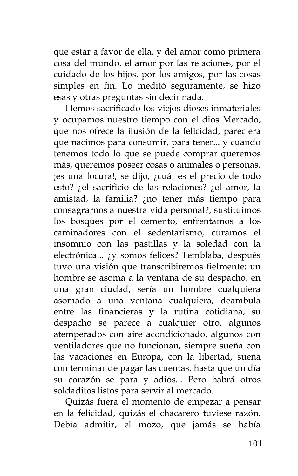que estar a favor de ella, y del amor como primera cosa del mundo, el amor por las relaciones, por el cuidado de los hijos, por los amigos, por las cosas simples en fin. Lo meditó seguramente, se hizo esas y otras preguntas sin decir nada.

Hemos sacrificado los viejos dioses inmateriales y ocupamos nuestro tiempo con el dios Mercado, que nos ofrece la ilusión de la felicidad, pareciera que nacimos para consumir, para tener... y cuando tenemos todo lo que se puede comprar queremos más, queremos poseer cosas o animales o personas, ¡es una locura!, se dijo, ¿cuál es el precio de todo esto? ¿el sacrificio de las relaciones? ¿el amor, la amistad, la familia? ¿no tener más tiempo para consagrarnos a nuestra vida personal?, sustituimos los bosques por el cemento, enfrentamos a los caminadores con el sedentarismo, curamos el insomnio con las pastillas y la soledad con la electrónica... ¿y somos felices? Temblaba, después tuvo una visión que transcribiremos fielmente: un hombre se asoma a la ventana de su despacho, en una gran ciudad, sería un hombre cualquiera asomado a una ventana cualquiera, deambula entre las financieras y la rutina cotidiana, su despacho se parece a cualquier otro, algunos atemperados con aire acondicionado, algunos con ventiladores que no funcionan, siempre sueña con las vacaciones en Europa, con la libertad, sueña con terminar de pagar las cuentas, hasta que un día su corazón se para y adiós... Pero habrá otros soldaditos listos para servir al mercado.

Quizás fuera el momento de empezar a pensar en la felicidad, quizás el chacarero tuviese razón. Debía admitir, el mozo, que jamás se había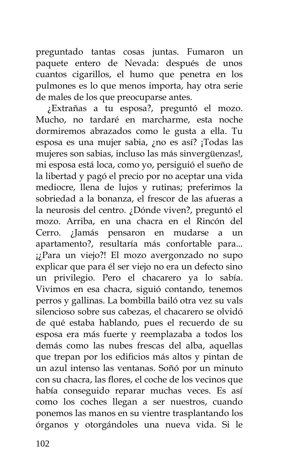preguntado tantas cosas juntas. Fumaron un paquete entero de Nevada: después de unos cuantos cigarillos, el humo que penetra en los pulmones es lo que menos importa, hay otra serie de males de los que preocuparse antes.

¿Extrañas a tu esposa?, preguntó el mozo. Mucho, no tardaré en marcharme, esta noche dormiremos abrazados como le gusta a ella. Tu esposa es una mujer sabia, ¿no es así? ¡Todas las mujeres son sabias, incluso las más sinvergüenzas!, mi esposa está loca, como yo, persiguió el sueño de la libertad y pagó el precio por no aceptar una vida mediocre, llena de lujos y rutinas; preferimos la sobriedad a la bonanza, el frescor de las afueras a la neurosis del centro. ¿Dónde viven?, preguntó el mozo. Arriba, en una chacra en el Rincón del Cerro. ¿Jamás pensaron en mudarse a un apartamento?, resultaría más confortable para... ¡¿Para un viejo?! El mozo avergonzado no supo explicar que para él ser viejo no era un defecto sino un privilegio. Pero el chacarero ya lo sabía. Vivimos en esa chacra, siguió contando, tenemos perros y gallinas. La bombilla bailó otra vez su vals silencioso sobre sus cabezas, el chacarero se olvidó de qué estaba hablando, pues el recuerdo de su esposa era más fuerte y reemplazaba a todos los demás como las nubes frescas del alba, aquellas que trepan por los edificios más altos y pintan de un azul intenso las ventanas. Soñó por un minuto con su chacra, las flores, el coche de los vecinos que había conseguido reparar muchas veces. Es así como los coches llegan a ser nuestros, cuando ponemos las manos en su vientre trasplantando los órganos y otorgándoles una nueva vida. Si le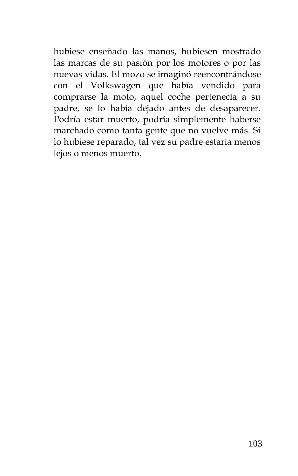hubiese enseñado las manos, hubiesen mostrado las marcas de su pasión por los motores o por las nuevas vidas. El mozo se imaginó reencontrándose con el Volkswagen que había vendido para comprarse la moto, aquel coche pertenecía a su padre, se lo había dejado antes de desaparecer. Podría estar muerto, podría simplemente haberse marchado como tanta gente que no vuelve más. Si lo hubiese reparado, tal vez su padre estaría menos lejos o menos muerto.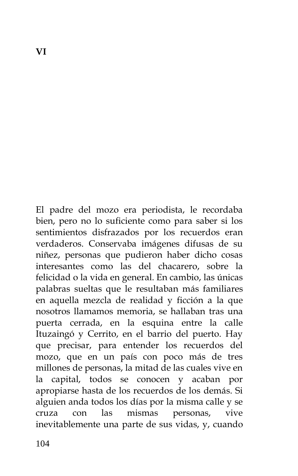El padre del mozo era periodista, le recordaba bien, pero no lo suficiente como para saber si los sentimientos disfrazados por los recuerdos eran verdaderos. Conservaba imágenes difusas de su niñez, personas que pudieron haber dicho cosas interesantes como las del chacarero, sobre la felicidad o la vida en general. En cambio, las únicas palabras sueltas que le resultaban más familiares en aquella mezcla de realidad y ficción a la que nosotros llamamos memoria, se hallaban tras una puerta cerrada, en la esquina entre la calle Ituzaingó y Cerrito, en el barrio del puerto. Hay que precisar, para entender los recuerdos del mozo, que en un país con poco más de tres millones de personas, la mitad de las cuales vive en la capital, todos se conocen y acaban por apropiarse hasta de los recuerdos de los demás. Si alguien anda todos los días por la misma calle y se cruza con las mismas personas, vive inevitablemente una parte de sus vidas, y, cuando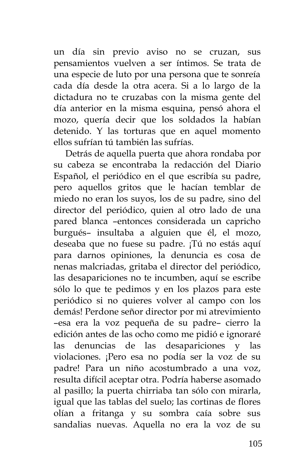un día sin previo aviso no se cruzan, sus pensamientos vuelven a ser íntimos. Se trata de una especie de luto por una persona que te sonreía cada día desde la otra acera. Si a lo largo de la dictadura no te cruzabas con la misma gente del día anterior en la misma esquina, pensó ahora el mozo, quería decir que los soldados la habían detenido. Y las torturas que en aquel momento ellos sufrían tú también las sufrías.

Detrás de aquella puerta que ahora rondaba por su cabeza se encontraba la redacción del Diario Español, el periódico en el que escribía su padre, pero aquellos gritos que le hacían temblar de miedo no eran los suyos, los de su padre, sino del director del periódico, quien al otro lado de una pared blanca –entonces considerada un capricho burgués– insultaba a alguien que él, el mozo, deseaba que no fuese su padre. ¡Tú no estás aquí para darnos opiniones, la denuncia es cosa de nenas malcriadas, gritaba el director del periódico, las desapariciones no te incumben, aquí se escribe sólo lo que te pedimos y en los plazos para este periódico si no quieres volver al campo con los demás! Perdone señor director por mi atrevimiento –esa era la voz pequeña de su padre– cierro la edición antes de las ocho como me pidió e ignoraré las denuncias de las desapariciones y las violaciones. ¡Pero esa no podía ser la voz de su padre! Para un niño acostumbrado a una voz, resulta difícil aceptar otra. Podría haberse asomado al pasillo; la puerta chirriaba tan sólo con mirarla, igual que las tablas del suelo; las cortinas de flores olían a fritanga y su sombra caía sobre sus sandalias nuevas. Aquella no era la voz de su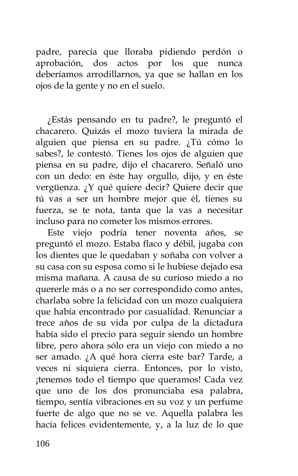padre, parecía que lloraba pidiendo perdón o aprobación, dos actos por los que nunca deberíamos arrodillarnos, ya que se hallan en los ojos de la gente y no en el suelo.

¿Estás pensando en tu padre?, le preguntó el chacarero. Quizás el mozo tuviera la mirada de alguien que piensa en su padre. ¿Tú cómo lo sabes?, le contestó. Tienes los ojos de alguien que piensa en su padre, dijo el chacarero. Señaló uno con un dedo: en éste hay orgullo, dijo, y en éste vergüenza. ¿Y qué quiere decir? Quiere decir que tú vas a ser un hombre mejor que él, tienes su fuerza, se te nota, tanta que la vas a necesitar incluso para no cometer los mismos errores.

Este viejo podría tener noventa años, se preguntó el mozo. Estaba flaco y débil, jugaba con los dientes que le quedaban y soñaba con volver a su casa con su esposa como si le hubiese dejado esa misma mañana. A causa de su curioso miedo a no quererle más o a no ser correspondido como antes, charlaba sobre la felicidad con un mozo cualquiera que había encontrado por casualidad. Renunciar a trece años de su vida por culpa de la dictadura había sido el precio para seguir siendo un hombre libre, pero ahora sólo era un viejo con miedo a no ser amado. ¿A qué hora cierra este bar? Tarde, a veces ni siquiera cierra. Entonces, por lo visto, ¡tenemos todo el tiempo que queramos! Cada vez que uno de los dos pronunciaba esa palabra, tiempo, sentía vibraciones en su voz y un perfume fuerte de algo que no se ve. Aquella palabra les hacía felices evidentemente, y, a la luz de lo que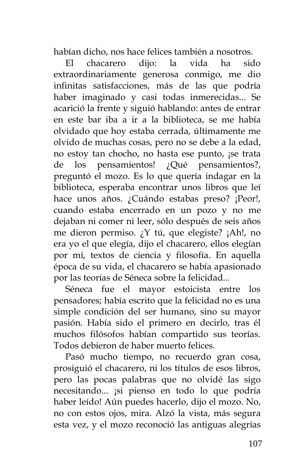habían dicho, nos hace felices también a nosotros.

El chacarero dijo: la vida ha sido extraordinariamente generosa conmigo, me dio infinitas satisfacciones, más de las que podría haber imaginado y casi todas inmerecidas... Se acarició la frente y siguió hablando: antes de entrar en este bar iba a ir a la biblioteca, se me había olvidado que hoy estaba cerrada, últimamente me olvido de muchas cosas, pero no se debe a la edad, no estoy tan chocho, no hasta ese punto, ¡se trata de los pensamientos! ¿Qué pensamientos?, preguntó el mozo. Es lo que quería indagar en la biblioteca, esperaba encontrar unos libros que leí hace unos años. ¿Cuándo estabas preso? ¡Peor!, cuando estaba encerrado en un pozo y no me dejaban ni comer ni leer, sólo después de seis años me dieron permiso. ¿Y tú, que elegiste? ¡Ah!, no era yo el que elegía, dijo el chacarero, ellos elegían por mí, textos de ciencia y filosofía. En aquella época de su vida, el chacarero se había apasionado por las teorías de Séneca sobre la felicidad...

Séneca fue el mayor estoicista entre los pensadores; había escrito que la felicidad no es una simple condición del ser humano, sino su mayor pasión. Había sido el primero en decirlo, tras él muchos filósofos habían compartido sus teorías. Todos debieron de haber muerto felices.

Pasó mucho tiempo, no recuerdo gran cosa, prosiguió el chacarero, ni los títulos de esos libros, pero las pocas palabras que no olvidé las sigo necesitando... ¡si pienso en todo lo que podría haber leído! Aún puedes hacerlo, dijo el mozo. No, no con estos ojos, mira. Alzó la vista, más segura esta vez, y el mozo reconoció las antiguas alegrías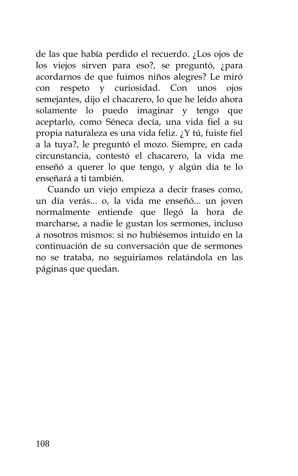de las que había perdido el recuerdo. ¿Los ojos de los viejos sirven para eso?, se preguntó, ¿para acordarnos de que fuimos niños alegres? Le miró con respeto y curiosidad. Con unos ojos semejantes, dijo el chacarero, lo que he leído ahora solamente lo puedo imaginar y tengo que aceptarlo, como Séneca decía, una vida fiel a su propia naturaleza es una vida feliz. ¿Y tú, fuiste fiel a la tuya?, le preguntó el mozo. Siempre, en cada circunstancia, contestó el chacarero, la vida me enseñó a querer lo que tengo, y algún día te lo enseñará a ti también.

Cuando un viejo empieza a decir frases como, un día verás... o, la vida me enseñó... un joven normalmente entiende que llegó la hora de marcharse, a nadie le gustan los sermones, incluso a nosotros mismos: si no hubiésemos intuido en la continuación de su conversación que de sermones no se trataba, no seguiríamos relatándola en las páginas que quedan.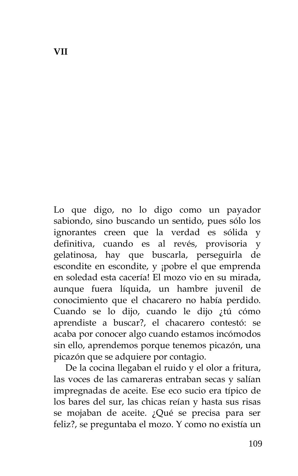Lo que digo, no lo digo como un payador sabiondo, sino buscando un sentido, pues sólo los ignorantes creen que la verdad es sólida y definitiva, cuando es al revés, provisoria y gelatinosa, hay que buscarla, perseguirla de escondite en escondite, y ¡pobre el que emprenda en soledad esta cacería! El mozo vio en su mirada, aunque fuera líquida, un hambre juvenil de conocimiento que el chacarero no había perdido. Cuando se lo dijo, cuando le dijo ¿tú cómo aprendiste a buscar?, el chacarero contestó: se acaba por conocer algo cuando estamos incómodos sin ello, aprendemos porque tenemos picazón, una picazón que se adquiere por contagio.

De la cocina llegaban el ruido y el olor a fritura, las voces de las camareras entraban secas y salían impregnadas de aceite. Ese eco sucio era típico de los bares del sur, las chicas reían y hasta sus risas se mojaban de aceite. ¿Qué se precisa para ser feliz?, se preguntaba el mozo. Y como no existía un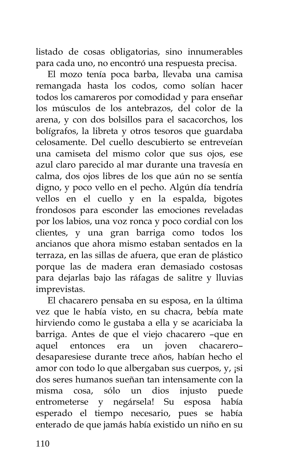listado de cosas obligatorias, sino innumerables para cada uno, no encontró una respuesta precisa.

El mozo tenía poca barba, llevaba una camisa remangada hasta los codos, como solían hacer todos los camareros por comodidad y para enseñar los músculos de los antebrazos, del color de la arena, y con dos bolsillos para el sacacorchos, los bolígrafos, la libreta y otros tesoros que guardaba celosamente. Del cuello descubierto se entreveían una camiseta del mismo color que sus ojos, ese azul claro parecido al mar durante una travesía en calma, dos ojos libres de los que aún no se sentía digno, y poco vello en el pecho. Algún día tendría vellos en el cuello y en la espalda, bigotes frondosos para esconder las emociones reveladas por los labios, una voz ronca y poco cordial con los clientes, y una gran barriga como todos los ancianos que ahora mismo estaban sentados en la terraza, en las sillas de afuera, que eran de plástico porque las de madera eran demasiado costosas para dejarlas bajo las ráfagas de salitre y lluvias imprevistas.

El chacarero pensaba en su esposa, en la última vez que le había visto, en su chacra, bebía mate hirviendo como le gustaba a ella y se acariciaba la barriga. Antes de que el viejo chacarero –que en aquel entonces era un joven chacarero– desaparesiese durante trece años, habían hecho el amor con todo lo que albergaban sus cuerpos, y, ¡si dos seres humanos sueñan tan intensamente con la misma cosa, sólo un dios injusto puede entrometerse y negársela! Su esposa había esperado el tiempo necesario, pues se había enterado de que jamás había existido un niño en su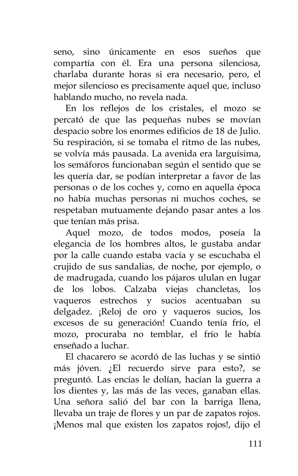seno, sino únicamente en esos sueños que compartía con él. Era una persona silenciosa, charlaba durante horas si era necesario, pero, el mejor silencioso es precisamente aquel que, incluso hablando mucho, no revela nada.

En los reflejos de los cristales, el mozo se percató de que las pequeñas nubes se movían despacio sobre los enormes edificios de 18 de Julio. Su respiración, si se tomaba el ritmo de las nubes, se volvía más pausada. La avenida era larguísima, los semáforos funcionaban según el sentido que se les quería dar, se podían interpretar a favor de las personas o de los coches y, como en aquella época no había muchas personas ni muchos coches, se respetaban mutuamente dejando pasar antes a los que tenían más prisa.

Aquel mozo, de todos modos, poseía la elegancia de los hombres altos, le gustaba andar por la calle cuando estaba vacía y se escuchaba el crujido de sus sandalias, de noche, por ejemplo, o de madrugada, cuando los pájaros ululan en lugar de los lobos. Calzaba viejas chancletas, los vaqueros estrechos y sucios acentuaban su delgadez. ¡Reloj de oro y vaqueros sucios, los excesos de su generación! Cuando tenía frío, el mozo, procuraba no temblar, el frío le había enseñado a luchar.

El chacarero se acordó de las luchas y se sintió más jóven. ¿El recuerdo sirve para esto?, se preguntó. Las encías le dolían, hacían la guerra a los dientes y, las más de las veces, ganaban ellas. Una señora salió del bar con la barriga llena, llevaba un traje de flores y un par de zapatos rojos. ¡Menos mal que existen los zapatos rojos!, dijo el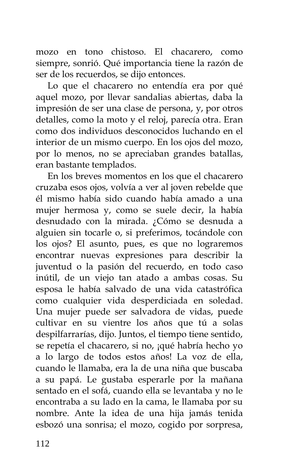mozo en tono chistoso. El chacarero, como siempre, sonrió. Qué importancia tiene la razón de ser de los recuerdos, se dijo entonces.

Lo que el chacarero no entendía era por qué aquel mozo, por llevar sandalias abiertas, daba la impresión de ser una clase de persona, y, por otros detalles, como la moto y el reloj, parecía otra. Eran como dos individuos desconocidos luchando en el interior de un mismo cuerpo. En los ojos del mozo, por lo menos, no se apreciaban grandes batallas, eran bastante templados.

En los breves momentos en los que el chacarero cruzaba esos ojos, volvía a ver al joven rebelde que él mismo había sido cuando había amado a una mujer hermosa y, como se suele decir, la había desnudado con la mirada. ¿Cómo se desnuda a alguien sin tocarle o, si preferimos, tocándole con los ojos? El asunto, pues, es que no lograremos encontrar nuevas expresiones para describir la juventud o la pasión del recuerdo, en todo caso inútil, de un viejo tan atado a ambas cosas. Su esposa le había salvado de una vida catastrófica como cualquier vida desperdiciada en soledad. Una mujer puede ser salvadora de vidas, puede cultivar en su vientre los años que tú a solas despilfarrarías, dijo. Juntos, el tiempo tiene sentido, se repetía el chacarero, si no, ¡qué habría hecho yo a lo largo de todos estos años! La voz de ella, cuando le llamaba, era la de una niña que buscaba a su papá. Le gustaba esperarle por la mañana sentado en el sofá, cuando ella se levantaba y no le encontraba a su lado en la cama, le llamaba por su nombre. Ante la idea de una hija jamás tenida esbozó una sonrisa; el mozo, cogido por sorpresa,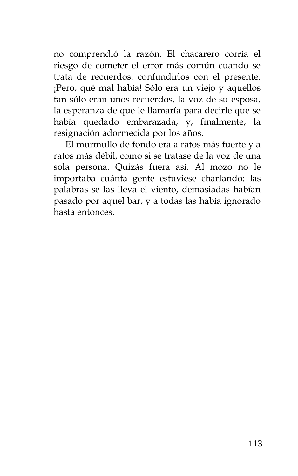no comprendió la razón. El chacarero corría el riesgo de cometer el error más común cuando se trata de recuerdos: confundirlos con el presente. ¡Pero, qué mal había! Sólo era un viejo y aquellos tan sólo eran unos recuerdos, la voz de su esposa, la esperanza de que le llamaría para decirle que se había quedado embarazada, y, finalmente, la resignación adormecida por los años.

El murmullo de fondo era a ratos más fuerte y a ratos más débil, como si se tratase de la voz de una sola persona. Quizás fuera así. Al mozo no le importaba cuánta gente estuviese charlando: las palabras se las lleva el viento, demasiadas habían pasado por aquel bar, y a todas las había ignorado hasta entonces.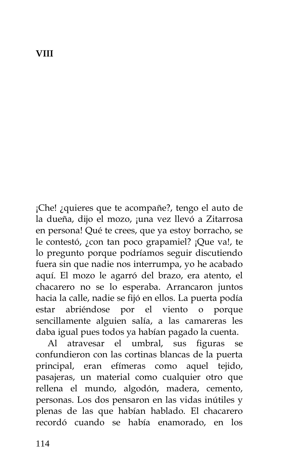## **VIII**

¡Che! ¿quieres que te acompañe?, tengo el auto de la dueña, dijo el mozo, ¡una vez llevó a Zitarrosa en persona! Qué te crees, que ya estoy borracho, se le contestó, ¿con tan poco grapamiel? ¡Que va!, te lo pregunto porque podríamos seguir discutiendo fuera sin que nadie nos interrumpa, yo he acabado aquí. El mozo le agarró del brazo, era atento, el chacarero no se lo esperaba. Arrancaron juntos hacia la calle, nadie se fijó en ellos. La puerta podía estar abriéndose por el viento o porque sencillamente alguien salía, a las camareras les daba igual pues todos ya habían pagado la cuenta.

Al atravesar el umbral, sus figuras se confundieron con las cortinas blancas de la puerta principal, eran efímeras como aquel tejido, pasajeras, un material como cualquier otro que rellena el mundo, algodón, madera, cemento, personas. Los dos pensaron en las vidas inútiles y plenas de las que habían hablado. El chacarero recordó cuando se había enamorado, en los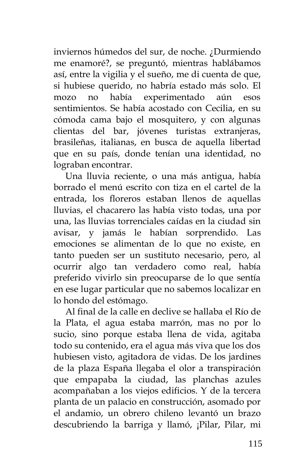inviernos húmedos del sur, de noche. ¿Durmiendo me enamoré?, se preguntó, mientras hablábamos así, entre la vigilia y el sueño, me di cuenta de que, si hubiese querido, no habría estado más solo. El mozo no había experimentado aún esos sentimientos. Se había acostado con Cecilia, en su cómoda cama bajo el mosquitero, y con algunas clientas del bar, jóvenes turistas extranjeras, brasileñas, italianas, en busca de aquella libertad que en su país, donde tenían una identidad, no lograban encontrar.

Una lluvia reciente, o una más antigua, había borrado el menú escrito con tiza en el cartel de la entrada, los floreros estaban llenos de aquellas lluvias, el chacarero las había visto todas, una por una, las lluvias torrenciales caídas en la ciudad sin avisar, y jamás le habían sorprendido. Las emociones se alimentan de lo que no existe, en tanto pueden ser un sustituto necesario, pero, al ocurrir algo tan verdadero como real, había preferido vivirlo sin preocuparse de lo que sentía en ese lugar particular que no sabemos localizar en lo hondo del estómago.

Al final de la calle en declive se hallaba el Río de la Plata, el agua estaba marrón, mas no por lo sucio, sino porque estaba llena de vida, agitaba todo su contenido, era el agua más viva que los dos hubiesen visto, agitadora de vidas. De los jardines de la plaza España llegaba el olor a transpiración que empapaba la ciudad, las planchas azules acompañaban a los viejos edificios. Y de la tercera planta de un palacio en construcción, asomado por el andamio, un obrero chileno levantó un brazo descubriendo la barriga y llamó, ¡Pilar, Pilar, mi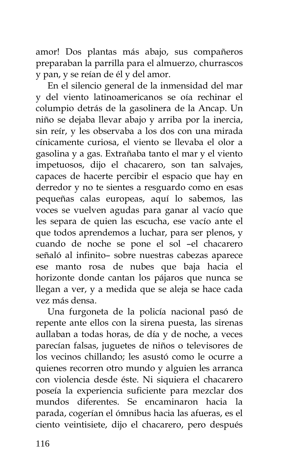amor! Dos plantas más abajo, sus compañeros preparaban la parrilla para el almuerzo, churrascos y pan, y se reían de él y del amor.

En el silencio general de la inmensidad del mar y del viento latinoamericanos se oía rechinar el columpio detrás de la gasolinera de la Ancap. Un niño se dejaba llevar abajo y arriba por la inercia, sin reír, y les observaba a los dos con una mirada cínicamente curiosa, el viento se llevaba el olor a gasolina y a gas. Extrañaba tanto el mar y el viento impetuosos, dijo el chacarero, son tan salvajes, capaces de hacerte percibir el espacio que hay en derredor y no te sientes a resguardo como en esas pequeñas calas europeas, aquí lo sabemos, las voces se vuelven agudas para ganar al vacío que les separa de quien las escucha, ese vacío ante el que todos aprendemos a luchar, para ser plenos, y cuando de noche se pone el sol –el chacarero señaló al infinito– sobre nuestras cabezas aparece ese manto rosa de nubes que baja hacia el horizonte donde cantan los pájaros que nunca se llegan a ver, y a medida que se aleja se hace cada vez más densa.

Una furgoneta de la policía nacional pasó de repente ante ellos con la sirena puesta, las sirenas aullaban a todas horas, de día y de noche, a veces parecían falsas, juguetes de niños o televisores de los vecinos chillando; les asustó como le ocurre a quienes recorren otro mundo y alguien les arranca con violencia desde éste. Ni siquiera el chacarero poseía la experiencia suficiente para mezclar dos mundos diferentes. Se encaminaron hacia la parada, cogerían el ómnibus hacia las afueras, es el ciento veintisiete, dijo el chacarero, pero después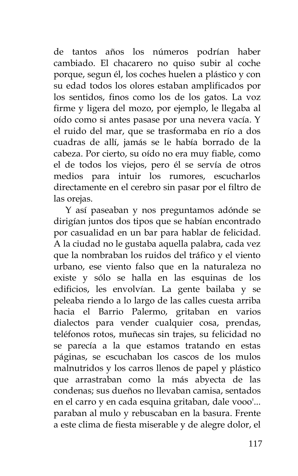de tantos años los números podrían haber cambiado. El chacarero no quiso subir al coche porque, segun él, los coches huelen a plástico y con su edad todos los olores estaban amplificados por los sentidos, finos como los de los gatos. La voz firme y ligera del mozo, por ejemplo, le llegaba al oído como si antes pasase por una nevera vacía. Y el ruido del mar, que se trasformaba en río a dos cuadras de allí, jamás se le había borrado de la cabeza. Por cierto, su oído no era muy fiable, como el de todos los viejos, pero él se servía de otros medios para intuir los rumores, escucharlos directamente en el cerebro sin pasar por el filtro de las orejas.

Y así paseaban y nos preguntamos adónde se dirigían juntos dos tipos que se habían encontrado por casualidad en un bar para hablar de felicidad. A la ciudad no le gustaba aquella palabra, cada vez que la nombraban los ruidos del tráfico y el viento urbano, ese viento falso que en la naturaleza no existe y sólo se halla en las esquinas de los edificios, les envolvían. La gente bailaba y se peleaba riendo a lo largo de las calles cuesta arriba hacia el Barrio Palermo, gritaban en varios dialectos para vender cualquier cosa, prendas, teléfonos rotos, muñecas sin trajes, su felicidad no se parecía a la que estamos tratando en estas páginas, se escuchaban los cascos de los mulos malnutridos y los carros llenos de papel y plástico que arrastraban como la más abyecta de las condenas; sus dueños no llevaban camisa, sentados en el carro y en cada esquina gritaban, dale vooo'... paraban al mulo y rebuscaban en la basura. Frente a este clima de fiesta miserable y de alegre dolor, el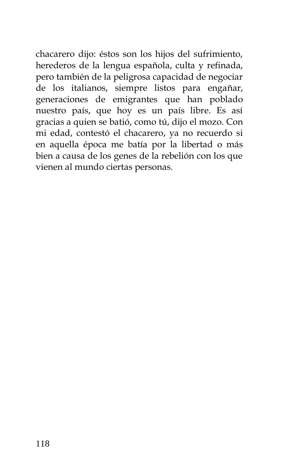chacarero dijo: éstos son los hijos del sufrimiento, herederos de la lengua española, culta y refinada, pero también de la peligrosa capacidad de negociar de los italianos, siempre listos para engañar, generaciones de emigrantes que han poblado nuestro país, que hoy es un país libre. Es así gracias a quien se batió, como tú, dijo el mozo. Con mi edad, contestó el chacarero, ya no recuerdo si en aquella época me batía por la libertad o más bien a causa de los genes de la rebelión con los que vienen al mundo ciertas personas.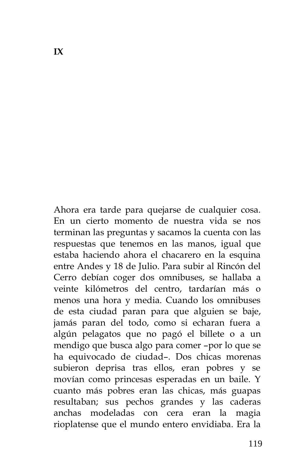Ahora era tarde para quejarse de cualquier cosa. En un cierto momento de nuestra vida se nos terminan las preguntas y sacamos la cuenta con las respuestas que tenemos en las manos, igual que estaba haciendo ahora el chacarero en la esquina entre Andes y 18 de Julio. Para subir al Rincón del Cerro debían coger dos omnibuses, se hallaba a veinte kilómetros del centro, tardarían más o menos una hora y media. Cuando los omnibuses de esta ciudad paran para que alguien se baje, jamás paran del todo, como si echaran fuera a algún pelagatos que no pagó el billete o a un mendigo que busca algo para comer –por lo que se ha equivocado de ciudad–. Dos chicas morenas subieron deprisa tras ellos, eran pobres y se movían como princesas esperadas en un baile. Y cuanto más pobres eran las chicas, más guapas resultaban; sus pechos grandes y las caderas anchas modeladas con cera eran la magia rioplatense que el mundo entero envidiaba. Era la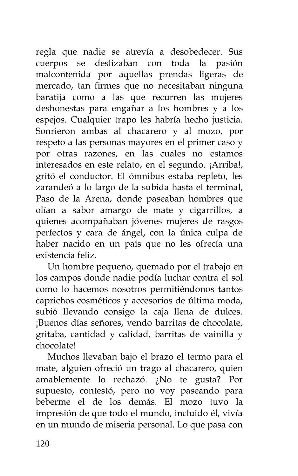regla que nadie se atrevía a desobedecer. Sus cuerpos se deslizaban con toda la pasión malcontenida por aquellas prendas ligeras de mercado, tan firmes que no necesitaban ninguna baratija como a las que recurren las mujeres deshonestas para engañar a los hombres y a los espejos. Cualquier trapo les habría hecho justicia. Sonrieron ambas al chacarero y al mozo, por respeto a las personas mayores en el primer caso y por otras razones, en las cuales no estamos interesados en este relato, en el segundo. ¡Arriba!, gritó el conductor. El ómnibus estaba repleto, les zarandeó a lo largo de la subida hasta el terminal, Paso de la Arena, donde paseaban hombres que olían a sabor amargo de mate y cigarrillos, a quienes acompañaban jóvenes mujeres de rasgos perfectos y cara de ángel, con la única culpa de haber nacido en un país que no les ofrecía una existencia feliz.

Un hombre pequeño, quemado por el trabajo en los campos donde nadie podía luchar contra el sol como lo hacemos nosotros permitiéndonos tantos caprichos cosméticos y accesorios de última moda, subió llevando consigo la caja llena de dulces. ¡Buenos días señores, vendo barritas de chocolate, gritaba, cantidad y calidad, barritas de vainilla y chocolate!

Muchos llevaban bajo el brazo el termo para el mate, alguien ofreció un trago al chacarero, quien amablemente lo rechazó. ¿No te gusta? Por supuesto, contestó, pero no voy paseando para beberme el de los demás. El mozo tuvo la impresión de que todo el mundo, incluido él, vivía en un mundo de miseria personal. Lo que pasa con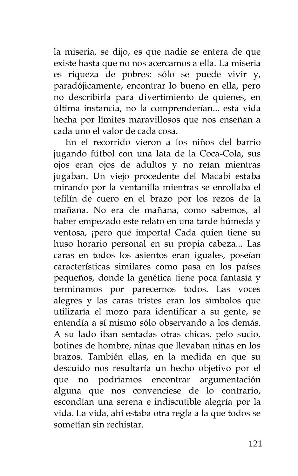la miseria, se dijo, es que nadie se entera de que existe hasta que no nos acercamos a ella. La miseria es riqueza de pobres: sólo se puede vivir y, paradójicamente, encontrar lo bueno en ella, pero no describirla para divertimiento de quienes, en última instancia, no la comprenderían... esta vida hecha por límites maravillosos que nos enseñan a cada uno el valor de cada cosa.

En el recorrido vieron a los niños del barrio jugando fútbol con una lata de la Coca-Cola, sus ojos eran ojos de adultos y no reían mientras jugaban. Un viejo procedente del Macabi estaba mirando por la ventanilla mientras se enrollaba el tefilín de cuero en el brazo por los rezos de la mañana. No era de mañana, como sabemos, al haber empezado este relato en una tarde húmeda y ventosa, ¡pero qué importa! Cada quien tiene su huso horario personal en su propia cabeza... Las caras en todos los asientos eran iguales, poseían características similares como pasa en los países pequeños, donde la genética tiene poca fantasía y terminamos por parecernos todos. Las voces alegres y las caras tristes eran los símbolos que utilizaría el mozo para identificar a su gente, se entendía a sí mismo sólo observando a los demás. A su lado iban sentadas otras chicas, pelo sucio, botines de hombre, niñas que llevaban niñas en los brazos. También ellas, en la medida en que su descuido nos resultaría un hecho objetivo por el que no podríamos encontrar argumentación alguna que nos convenciese de lo contrario, escondían una serena e indiscutible alegría por la vida. La vida, ahí estaba otra regla a la que todos se sometían sin rechistar.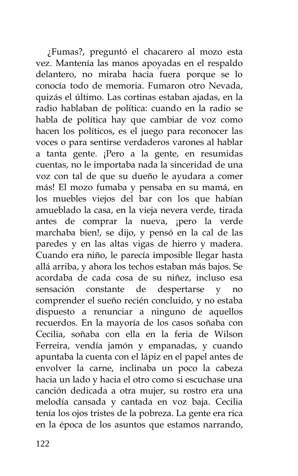¿Fumas?, preguntó el chacarero al mozo esta vez. Mantenía las manos apoyadas en el respaldo delantero, no miraba hacia fuera porque se lo conocía todo de memoria. Fumaron otro Nevada, quizás el último. Las cortinas estaban ajadas, en la radio hablaban de política: cuando en la radio se habla de política hay que cambiar de voz como hacen los políticos, es el juego para reconocer las voces o para sentirse verdaderos varones al hablar a tanta gente. ¡Pero a la gente, en resumidas cuentas, no le importaba nada la sinceridad de una voz con tal de que su dueño le ayudara a comer más! El mozo fumaba y pensaba en su mamá, en los muebles viejos del bar con los que habían amueblado la casa, en la vieja nevera verde, tirada antes de comprar la nueva, ¡pero la verde marchaba bien!, se dijo, y pensó en la cal de las paredes y en las altas vigas de hierro y madera. Cuando era niño, le parecía imposible llegar hasta allá arriba, y ahora los techos estaban más bajos. Se acordaba de cada cosa de su niñez, incluso esa sensación constante de despertarse y no comprender el sueño recién concluido, y no estaba dispuesto a renunciar a ninguno de aquellos recuerdos. En la mayoría de los casos soñaba con Cecilia, soñaba con ella en la feria de Wilson Ferreira, vendía jamón y empanadas, y cuando apuntaba la cuenta con el lápiz en el papel antes de envolver la carne, inclinaba un poco la cabeza hacia un lado y hacia el otro como si escuchase una canción dedicada a otra mujer, su rostro era una melodía cansada y cantada en voz baja. Cecilia tenía los ojos tristes de la pobreza. La gente era rica en la época de los asuntos que estamos narrando,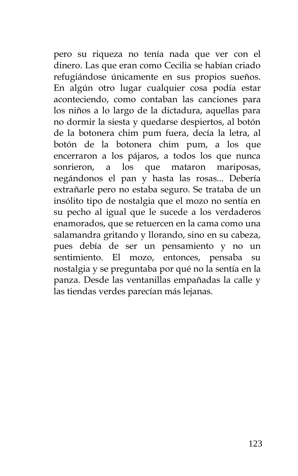pero su riqueza no tenía nada que ver con el dinero. Las que eran como Cecilia se habían criado refugiándose únicamente en sus propios sueños. En algún otro lugar cualquier cosa podía estar aconteciendo, como contaban las canciones para los niños a lo largo de la dictadura, aquellas para no dormir la siesta y quedarse despiertos, al botón de la botonera chim pum fuera, decía la letra, al botón de la botonera chim pum, a los que encerraron a los pájaros, a todos los que nunca sonrieron, a los que mataron mariposas, negándonos el pan y hasta las rosas... Debería extrañarle pero no estaba seguro. Se trataba de un insólito tipo de nostalgia que el mozo no sentía en su pecho al igual que le sucede a los verdaderos enamorados, que se retuercen en la cama como una salamandra gritando y llorando, sino en su cabeza, pues debía de ser un pensamiento y no un sentimiento. El mozo, entonces, pensaba su nostalgia y se preguntaba por qué no la sentía en la panza. Desde las ventanillas empañadas la calle y las tiendas verdes parecían más lejanas.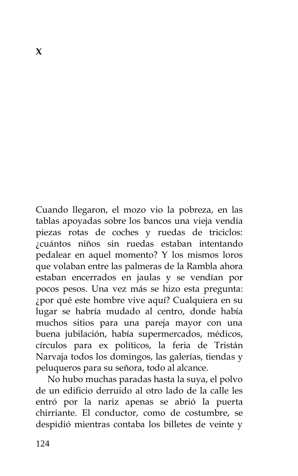Cuando llegaron, el mozo vio la pobreza, en las tablas apoyadas sobre los bancos una vieja vendía piezas rotas de coches y ruedas de triciclos: ¿cuántos niños sin ruedas estaban intentando pedalear en aquel momento? Y los mismos loros que volaban entre las palmeras de la Rambla ahora estaban encerrados en jaulas y se vendían por pocos pesos. Una vez más se hizo esta pregunta: ¿por qué este hombre vive aquí? Cualquiera en su lugar se habría mudado al centro, donde había muchos sitios para una pareja mayor con una buena jubilación, había supermercados, médicos, círculos para ex políticos, la feria de Tristán Narvaja todos los domingos, las galerías, tiendas y peluqueros para su señora, todo al alcance.

No hubo muchas paradas hasta la suya, el polvo de un edificio derruido al otro lado de la calle les entró por la nariz apenas se abrió la puerta chirriante. El conductor, como de costumbre, se despidió mientras contaba los billetes de veinte y

**X**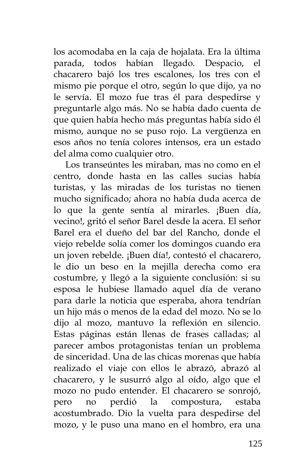los acomodaba en la caja de hojalata. Era la última parada, todos habían llegado. Despacio, el chacarero bajó los tres escalones, los tres con el mismo pie porque el otro, según lo que dijo, ya no le servía. El mozo fue tras él para despedirse y preguntarle algo más. No se había dado cuenta de que quien había hecho más preguntas había sido él mismo, aunque no se puso rojo. La vergüenza en esos años no tenía colores intensos, era un estado del alma como cualquier otro.

Los transeúntes les miraban, mas no como en el centro, donde hasta en las calles sucias había turistas, y las miradas de los turistas no tienen mucho significado; ahora no había duda acerca de lo que la gente sentía al mirarles. ¡Buen día, vecino!, gritó el señor Barel desde la acera. El señor Barel era el dueño del bar del Rancho, donde el viejo rebelde solía comer los domingos cuando era un joven rebelde. ¡Buen día!, contestó el chacarero, le dio un beso en la mejilla derecha como era costumbre, y llegó a la siguiente conclusión: si su esposa le hubiese llamado aquel día de verano para darle la noticia que esperaba, ahora tendrían un hijo más o menos de la edad del mozo. No se lo dijo al mozo, mantuvo la reflexión en silencio. Estas páginas están llenas de frases calladas; al parecer ambos protagonistas tenían un problema de sinceridad. Una de las chicas morenas que había realizado el viaje con ellos le abrazó, abrazó al chacarero, y le susurró algo al oído, algo que el mozo no pudo entender. El chacarero se sonrojó, pero no perdió la compostura, estaba acostumbrado. Dio la vuelta para despedirse del mozo, y le puso una mano en el hombro, era una